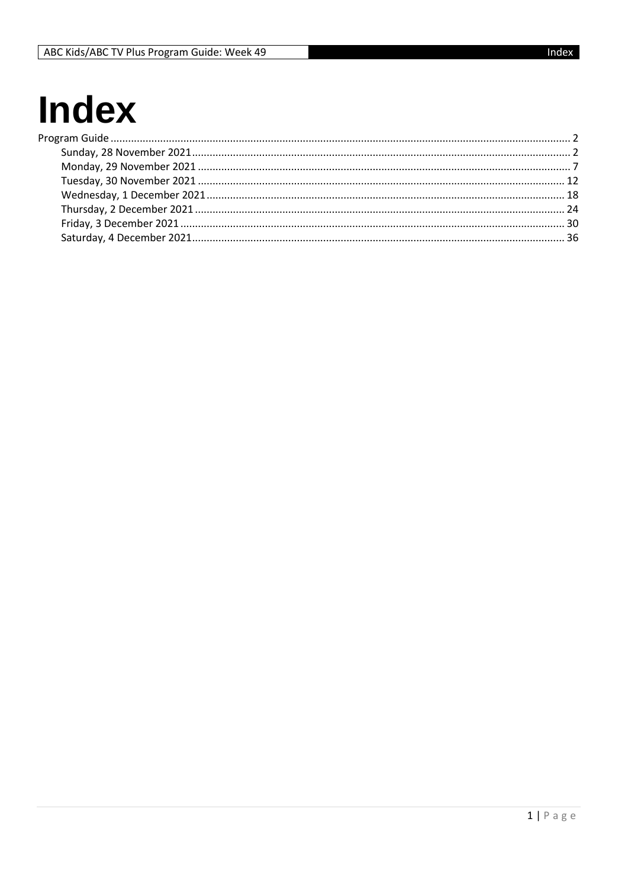## **Index**  $P<sub>l</sub>$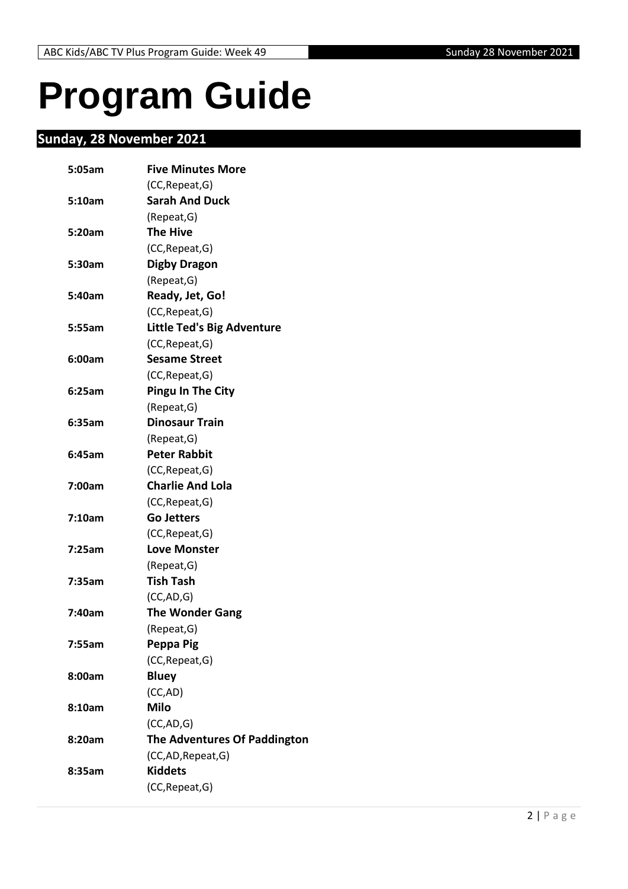# <span id="page-1-0"></span>**Program Guide**

### <span id="page-1-1"></span>**Sunday, 28 November 2021**

| 5:05am | <b>Five Minutes More</b>            |
|--------|-------------------------------------|
|        | (CC, Repeat, G)                     |
| 5:10am | <b>Sarah And Duck</b>               |
|        | (Repeat, G)                         |
| 5:20am | <b>The Hive</b>                     |
|        | (CC, Repeat, G)                     |
| 5:30am | <b>Digby Dragon</b>                 |
|        | (Repeat, G)                         |
| 5:40am | Ready, Jet, Go!                     |
|        | (CC, Repeat, G)                     |
| 5:55am | <b>Little Ted's Big Adventure</b>   |
|        | (CC, Repeat, G)                     |
| 6:00am | <b>Sesame Street</b>                |
|        | (CC, Repeat, G)                     |
| 6:25am | <b>Pingu In The City</b>            |
|        | (Repeat, G)                         |
| 6:35am | <b>Dinosaur Train</b>               |
|        | (Repeat, G)                         |
| 6:45am | <b>Peter Rabbit</b>                 |
|        | (CC, Repeat, G)                     |
| 7:00am | <b>Charlie And Lola</b>             |
|        | (CC, Repeat, G)                     |
| 7:10am | <b>Go Jetters</b>                   |
|        | (CC, Repeat, G)                     |
| 7:25am | <b>Love Monster</b>                 |
|        | (Repeat, G)                         |
| 7:35am | <b>Tish Tash</b>                    |
|        | (CC, AD, G)                         |
| 7:40am | <b>The Wonder Gang</b>              |
|        | (Repeat, G)                         |
| 7:55am | Peppa Pig                           |
|        | (CC, Repeat, G)                     |
| 8:00am | <b>Bluey</b>                        |
|        | (CC, AD)                            |
| 8:10am | <b>Milo</b>                         |
|        | (CC, AD, G)                         |
| 8:20am | <b>The Adventures Of Paddington</b> |
|        | (CC,AD, Repeat, G)                  |
| 8:35am | <b>Kiddets</b>                      |
|        | (CC, Repeat, G)                     |
|        |                                     |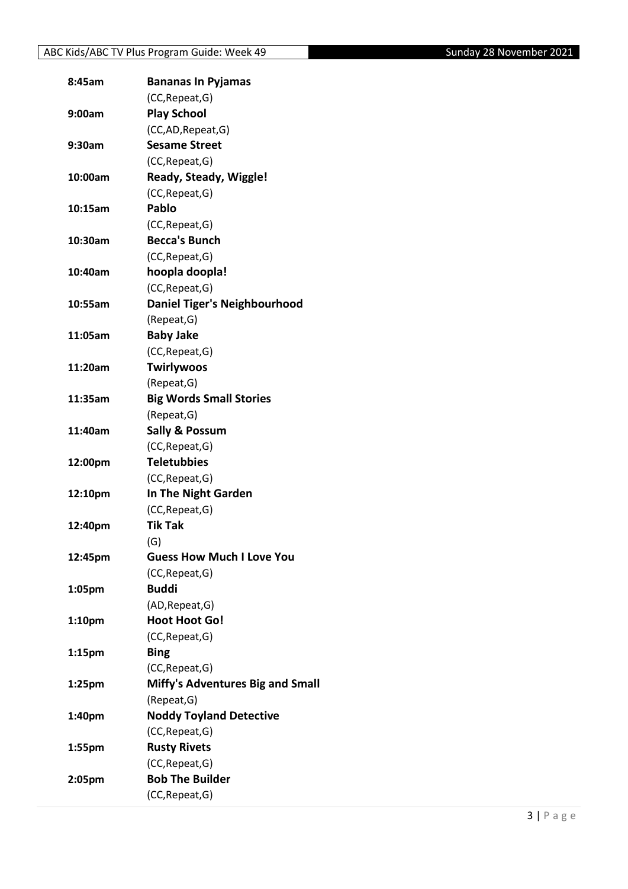| 8:45am             | <b>Bananas In Pyjamas</b>           |
|--------------------|-------------------------------------|
|                    | (CC, Repeat, G)                     |
| 9:00am             | <b>Play School</b>                  |
|                    | (CC,AD,Repeat,G)                    |
| 9:30am             | <b>Sesame Street</b>                |
|                    | (CC, Repeat, G)                     |
| 10:00am            | Ready, Steady, Wiggle!              |
|                    | (CC, Repeat, G)                     |
| 10:15am            | Pablo                               |
|                    | (CC, Repeat, G)                     |
| 10:30am            | <b>Becca's Bunch</b>                |
|                    | (CC, Repeat, G)                     |
| 10:40am            | hoopla doopla!                      |
|                    | (CC, Repeat, G)                     |
| 10:55am            | <b>Daniel Tiger's Neighbourhood</b> |
|                    | (Repeat, G)                         |
| 11:05am            | <b>Baby Jake</b>                    |
|                    | (CC, Repeat, G)                     |
| 11:20am            | <b>Twirlywoos</b>                   |
|                    | (Repeat, G)                         |
| 11:35am            | <b>Big Words Small Stories</b>      |
|                    | (Repeat, G)                         |
| 11:40am            | <b>Sally &amp; Possum</b>           |
|                    | (CC, Repeat, G)                     |
| 12:00pm            | <b>Teletubbies</b>                  |
|                    | (CC, Repeat, G)                     |
| 12:10pm            | In The Night Garden                 |
|                    | (CC, Repeat, G)                     |
| 12:40pm            | <b>Tik Tak</b>                      |
|                    | (G)                                 |
| 12:45pm            | <b>Guess How Much I Love You</b>    |
|                    | (CC, Repeat, G)                     |
| 1:05pm             | <b>Buddi</b>                        |
|                    | (AD, Repeat, G)                     |
| 1:10 <sub>pm</sub> | <b>Hoot Hoot Go!</b>                |
|                    | (CC, Repeat, G)                     |
| 1:15 <sub>pm</sub> | <b>Bing</b>                         |
|                    | (CC, Repeat, G)                     |
| 1:25 <sub>pm</sub> | Miffy's Adventures Big and Small    |
|                    | (Repeat, G)                         |
| 1:40pm             | <b>Noddy Toyland Detective</b>      |
|                    | (CC, Repeat, G)                     |
| 1:55pm             | <b>Rusty Rivets</b>                 |
|                    | (CC, Repeat, G)                     |
| 2:05pm             | <b>Bob The Builder</b>              |
|                    | (CC, Repeat, G)                     |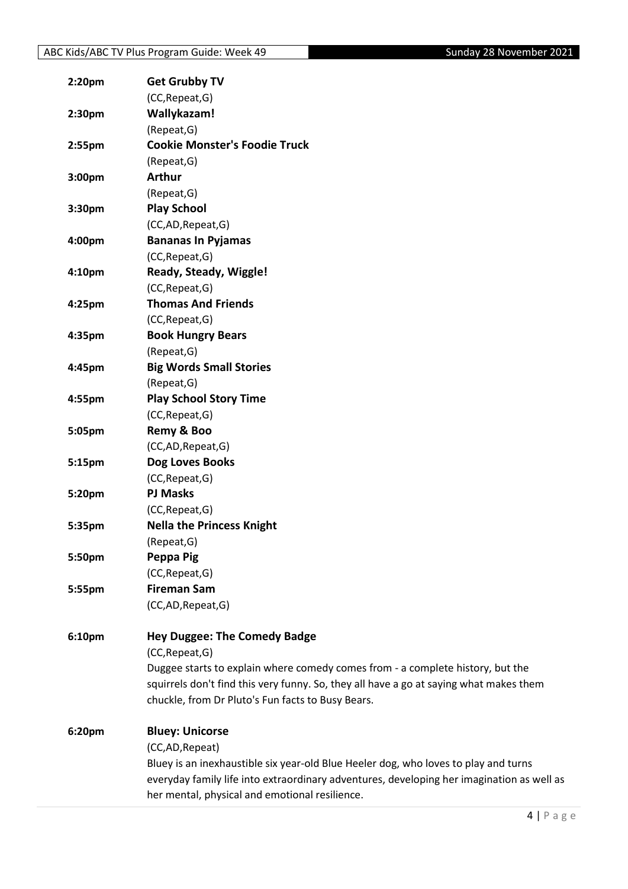| 2:20pm | <b>Get Grubby TV</b>                                                                      |
|--------|-------------------------------------------------------------------------------------------|
|        | (CC, Repeat, G)                                                                           |
| 2:30pm | Wallykazam!                                                                               |
|        | (Repeat, G)                                                                               |
| 2:55pm | <b>Cookie Monster's Foodie Truck</b>                                                      |
|        | (Repeat, G)                                                                               |
| 3:00pm | <b>Arthur</b>                                                                             |
|        | (Repeat, G)                                                                               |
| 3:30pm | <b>Play School</b>                                                                        |
|        | (CC,AD,Repeat,G)                                                                          |
| 4:00pm | <b>Bananas In Pyjamas</b>                                                                 |
|        | (CC, Repeat, G)                                                                           |
| 4:10pm | Ready, Steady, Wiggle!                                                                    |
|        | (CC, Repeat, G)                                                                           |
| 4:25pm | <b>Thomas And Friends</b>                                                                 |
|        | (CC, Repeat, G)                                                                           |
| 4:35pm | <b>Book Hungry Bears</b>                                                                  |
|        | (Repeat, G)                                                                               |
| 4:45pm | <b>Big Words Small Stories</b>                                                            |
|        | (Repeat, G)                                                                               |
| 4:55pm | <b>Play School Story Time</b>                                                             |
|        | (CC, Repeat, G)                                                                           |
| 5:05pm | Remy & Boo                                                                                |
|        | (CC,AD,Repeat,G)                                                                          |
| 5:15pm | Dog Loves Books                                                                           |
|        | (CC, Repeat, G)                                                                           |
| 5:20pm | <b>PJ Masks</b>                                                                           |
|        | (CC, Repeat, G)                                                                           |
| 5:35pm | <b>Nella the Princess Knight</b>                                                          |
|        | (Repeat, G)                                                                               |
| 5:50pm | Peppa Pig                                                                                 |
|        | (CC, Repeat, G)                                                                           |
| 5:55pm | <b>Fireman Sam</b>                                                                        |
|        | (CC,AD,Repeat,G)                                                                          |
|        |                                                                                           |
| 6:10pm | <b>Hey Duggee: The Comedy Badge</b>                                                       |
|        | (CC, Repeat, G)                                                                           |
|        | Duggee starts to explain where comedy comes from - a complete history, but the            |
|        | squirrels don't find this very funny. So, they all have a go at saying what makes them    |
|        | chuckle, from Dr Pluto's Fun facts to Busy Bears.                                         |
| 6:20pm | <b>Bluey: Unicorse</b>                                                                    |
|        | (CC,AD,Repeat)                                                                            |
|        | Bluey is an inexhaustible six year-old Blue Heeler dog, who loves to play and turns       |
|        | everyday family life into extraordinary adventures, developing her imagination as well as |
|        | her mental, physical and emotional resilience.                                            |
|        |                                                                                           |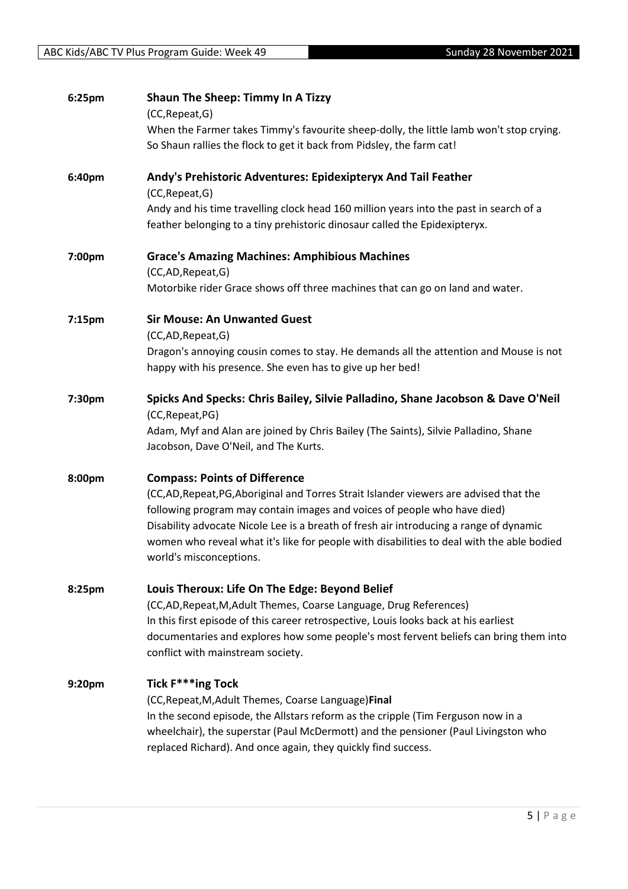| 6:25pm | <b>Shaun The Sheep: Timmy In A Tizzy</b><br>(CC, Repeat, G)<br>When the Farmer takes Timmy's favourite sheep-dolly, the little lamb won't stop crying.<br>So Shaun rallies the flock to get it back from Pidsley, the farm cat!                                                                                                                                                                                           |
|--------|---------------------------------------------------------------------------------------------------------------------------------------------------------------------------------------------------------------------------------------------------------------------------------------------------------------------------------------------------------------------------------------------------------------------------|
| 6:40pm | Andy's Prehistoric Adventures: Epidexipteryx And Tail Feather<br>(CC, Repeat, G)<br>Andy and his time travelling clock head 160 million years into the past in search of a<br>feather belonging to a tiny prehistoric dinosaur called the Epidexipteryx.                                                                                                                                                                  |
| 7:00pm | <b>Grace's Amazing Machines: Amphibious Machines</b><br>(CC,AD,Repeat,G)<br>Motorbike rider Grace shows off three machines that can go on land and water.                                                                                                                                                                                                                                                                 |
| 7:15pm | <b>Sir Mouse: An Unwanted Guest</b><br>(CC,AD,Repeat,G)<br>Dragon's annoying cousin comes to stay. He demands all the attention and Mouse is not<br>happy with his presence. She even has to give up her bed!                                                                                                                                                                                                             |
| 7:30pm | Spicks And Specks: Chris Bailey, Silvie Palladino, Shane Jacobson & Dave O'Neil<br>(CC, Repeat, PG)<br>Adam, Myf and Alan are joined by Chris Bailey (The Saints), Silvie Palladino, Shane<br>Jacobson, Dave O'Neil, and The Kurts.                                                                                                                                                                                       |
| 8:00pm | <b>Compass: Points of Difference</b><br>(CC,AD,Repeat,PG,Aboriginal and Torres Strait Islander viewers are advised that the<br>following program may contain images and voices of people who have died)<br>Disability advocate Nicole Lee is a breath of fresh air introducing a range of dynamic<br>women who reveal what it's like for people with disabilities to deal with the able bodied<br>world's misconceptions. |
| 8:25pm | Louis Theroux: Life On The Edge: Beyond Belief<br>(CC,AD, Repeat, M, Adult Themes, Coarse Language, Drug References)<br>In this first episode of this career retrospective, Louis looks back at his earliest<br>documentaries and explores how some people's most fervent beliefs can bring them into<br>conflict with mainstream society.                                                                                |
| 9:20pm | <b>Tick F***ing Tock</b><br>(CC, Repeat, M, Adult Themes, Coarse Language) Final<br>In the second episode, the Allstars reform as the cripple (Tim Ferguson now in a<br>wheelchair), the superstar (Paul McDermott) and the pensioner (Paul Livingston who<br>replaced Richard). And once again, they quickly find success.                                                                                               |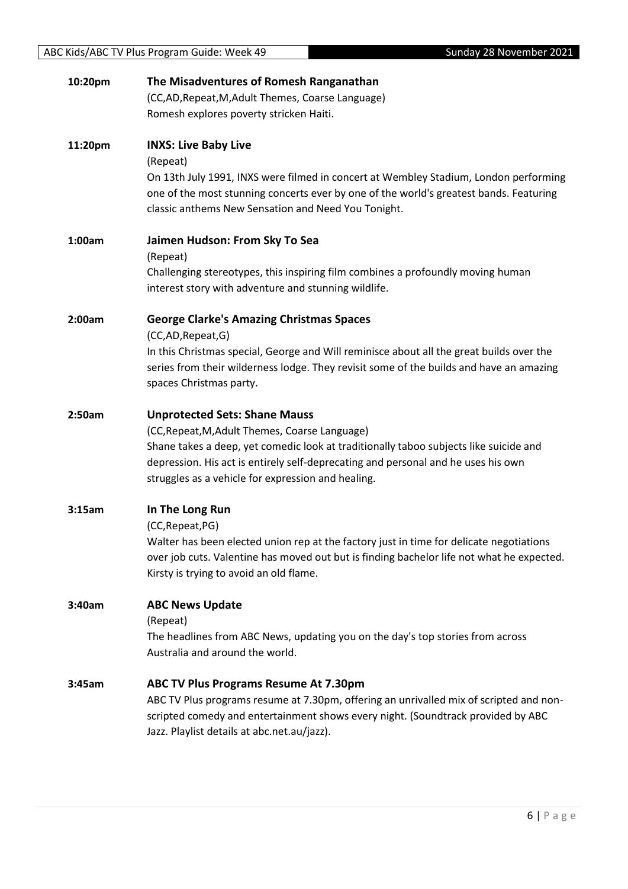| 10:20pm | The Misadventures of Romesh Ranganathan                                                   |
|---------|-------------------------------------------------------------------------------------------|
|         | (CC,AD, Repeat, M, Adult Themes, Coarse Language)                                         |
|         | Romesh explores poverty stricken Haiti.                                                   |
|         |                                                                                           |
| 11:20pm | <b>INXS: Live Baby Live</b>                                                               |
|         | (Repeat)                                                                                  |
|         | On 13th July 1991, INXS were filmed in concert at Wembley Stadium, London performing      |
|         | one of the most stunning concerts ever by one of the world's greatest bands. Featuring    |
|         | classic anthems New Sensation and Need You Tonight.                                       |
|         |                                                                                           |
| 1:00am  | Jaimen Hudson: From Sky To Sea                                                            |
|         | (Repeat)                                                                                  |
|         | Challenging stereotypes, this inspiring film combines a profoundly moving human           |
|         | interest story with adventure and stunning wildlife.                                      |
|         |                                                                                           |
| 2:00am  | <b>George Clarke's Amazing Christmas Spaces</b>                                           |
|         | (CC,AD,Repeat,G)                                                                          |
|         | In this Christmas special, George and Will reminisce about all the great builds over the  |
|         | series from their wilderness lodge. They revisit some of the builds and have an amazing   |
|         | spaces Christmas party.                                                                   |
|         |                                                                                           |
| 2:50am  | <b>Unprotected Sets: Shane Mauss</b>                                                      |
|         | (CC, Repeat, M, Adult Themes, Coarse Language)                                            |
|         | Shane takes a deep, yet comedic look at traditionally taboo subjects like suicide and     |
|         | depression. His act is entirely self-deprecating and personal and he uses his own         |
|         | struggles as a vehicle for expression and healing.                                        |
|         |                                                                                           |
| 3:15am  | In The Long Run                                                                           |
|         | (CC, Repeat, PG)                                                                          |
|         | Walter has been elected union rep at the factory just in time for delicate negotiations   |
|         | over job cuts. Valentine has moved out but is finding bachelor life not what he expected. |
|         | Kirsty is trying to avoid an old flame.                                                   |
|         |                                                                                           |
| 3:40am  | <b>ABC News Update</b>                                                                    |
|         | (Repeat)                                                                                  |
|         | The headlines from ABC News, updating you on the day's top stories from across            |
|         | Australia and around the world.                                                           |
| 3:45am  | <b>ABC TV Plus Programs Resume At 7.30pm</b>                                              |
|         | ABC TV Plus programs resume at 7.30pm, offering an unrivalled mix of scripted and non-    |
|         | scripted comedy and entertainment shows every night. (Soundtrack provided by ABC          |
|         | Jazz. Playlist details at abc.net.au/jazz).                                               |
|         |                                                                                           |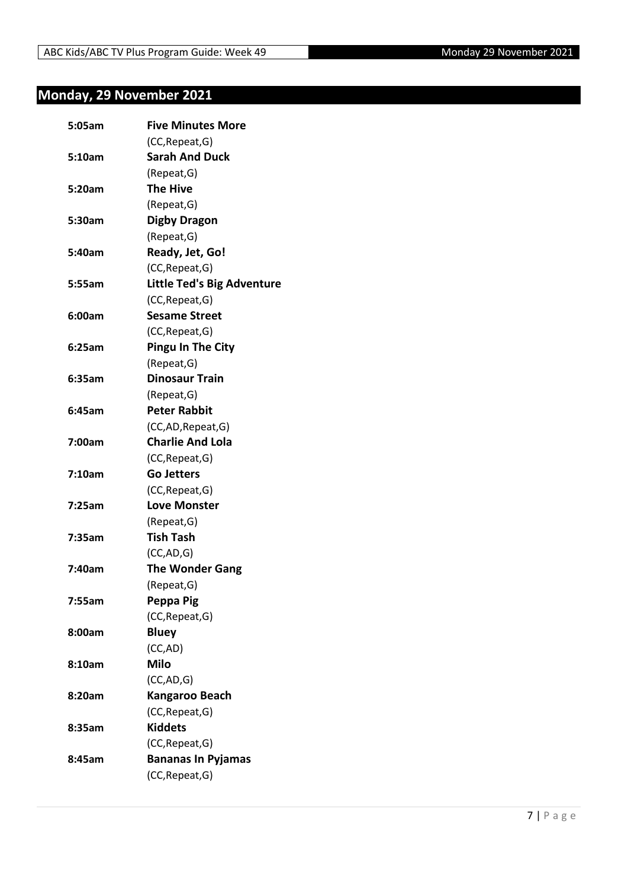### <span id="page-6-0"></span>**Monday, 29 November 2021**

| 5:05am | <b>Five Minutes More</b>          |
|--------|-----------------------------------|
|        | (CC, Repeat, G)                   |
| 5:10am | <b>Sarah And Duck</b>             |
|        | (Repeat,G)                        |
| 5:20am | <b>The Hive</b>                   |
|        | (Repeat, G)                       |
| 5:30am | <b>Digby Dragon</b>               |
|        | (Repeat, G)                       |
| 5:40am | Ready, Jet, Go!                   |
|        | (CC, Repeat, G)                   |
| 5:55am | <b>Little Ted's Big Adventure</b> |
|        | (CC, Repeat, G)                   |
| 6:00am | <b>Sesame Street</b>              |
|        | (CC, Repeat, G)                   |
| 6:25am | <b>Pingu In The City</b>          |
|        | (Repeat, G)                       |
| 6:35am | <b>Dinosaur Train</b>             |
|        | (Repeat, G)                       |
| 6:45am | <b>Peter Rabbit</b>               |
|        | (CC,AD, Repeat, G)                |
| 7:00am | <b>Charlie And Lola</b>           |
|        | (CC, Repeat, G)                   |
| 7:10am | <b>Go Jetters</b>                 |
|        | (CC, Repeat, G)                   |
| 7:25am | <b>Love Monster</b>               |
|        | (Repeat, G)                       |
| 7:35am | <b>Tish Tash</b>                  |
|        | (CC, AD, G)                       |
| 7:40am | <b>The Wonder Gang</b>            |
|        | (Repeat, G)                       |
| 7:55am | Peppa Pig                         |
|        | (CC, Repeat, G)                   |
| 8:00am | <b>Bluey</b>                      |
|        | (CC,AD)                           |
| 8:10am | <b>Milo</b>                       |
|        | (CC,AD,G)                         |
| 8:20am | Kangaroo Beach                    |
|        | (CC, Repeat, G)                   |
| 8:35am | <b>Kiddets</b>                    |
|        | (CC, Repeat, G)                   |
| 8:45am | <b>Bananas In Pyjamas</b>         |
|        | (CC, Repeat, G)                   |
|        |                                   |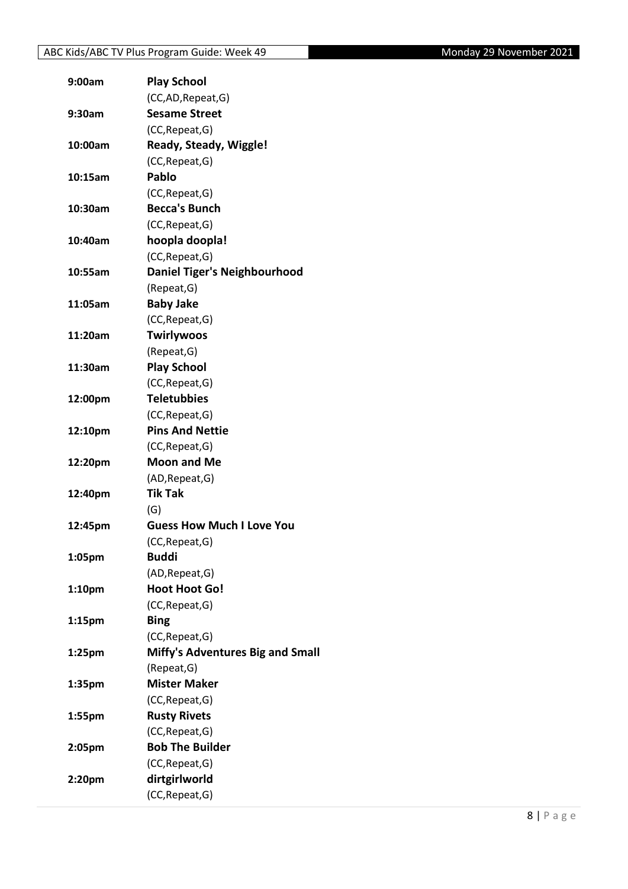| 9:00am             | <b>Play School</b>                      |
|--------------------|-----------------------------------------|
|                    | (CC,AD, Repeat, G)                      |
| 9:30am             | <b>Sesame Street</b>                    |
|                    | (CC, Repeat, G)                         |
| 10:00am            | Ready, Steady, Wiggle!                  |
|                    | (CC, Repeat, G)                         |
| 10:15am            | Pablo                                   |
|                    | (CC, Repeat, G)                         |
| 10:30am            | <b>Becca's Bunch</b>                    |
|                    | (CC, Repeat, G)                         |
| 10:40am            | hoopla doopla!                          |
|                    | (CC, Repeat, G)                         |
| 10:55am            | <b>Daniel Tiger's Neighbourhood</b>     |
|                    | (Repeat, G)                             |
| 11:05am            | <b>Baby Jake</b>                        |
|                    | (CC, Repeat, G)                         |
| 11:20am            | <b>Twirlywoos</b>                       |
|                    | (Repeat, G)                             |
| 11:30am            | <b>Play School</b>                      |
|                    | (CC, Repeat, G)                         |
| 12:00pm            | <b>Teletubbies</b>                      |
|                    | (CC, Repeat, G)                         |
| 12:10pm            | <b>Pins And Nettie</b>                  |
|                    | (CC, Repeat, G)                         |
| 12:20pm            | <b>Moon and Me</b>                      |
|                    | (AD, Repeat, G)                         |
| 12:40pm            | <b>Tik Tak</b>                          |
|                    | (G)                                     |
| 12:45pm            | <b>Guess How Much I Love You</b>        |
|                    | (CC, Repeat, G)                         |
| 1:05pm             | <b>Buddi</b>                            |
|                    | (AD, Repeat, G)                         |
| 1:10 <sub>pm</sub> | <b>Hoot Hoot Go!</b>                    |
|                    | (CC, Repeat, G)                         |
| 1:15 <sub>pm</sub> | <b>Bing</b>                             |
|                    | (CC, Repeat, G)                         |
| 1:25pm             | <b>Miffy's Adventures Big and Small</b> |
|                    | (Repeat, G)                             |
| 1:35pm             | <b>Mister Maker</b>                     |
|                    | (CC, Repeat, G)                         |
| 1:55pm             | <b>Rusty Rivets</b>                     |
|                    | (CC, Repeat, G)                         |
| 2:05pm             | <b>Bob The Builder</b>                  |
|                    | (CC, Repeat, G)                         |
| 2:20pm             | dirtgirlworld                           |
|                    | (CC, Repeat, G)                         |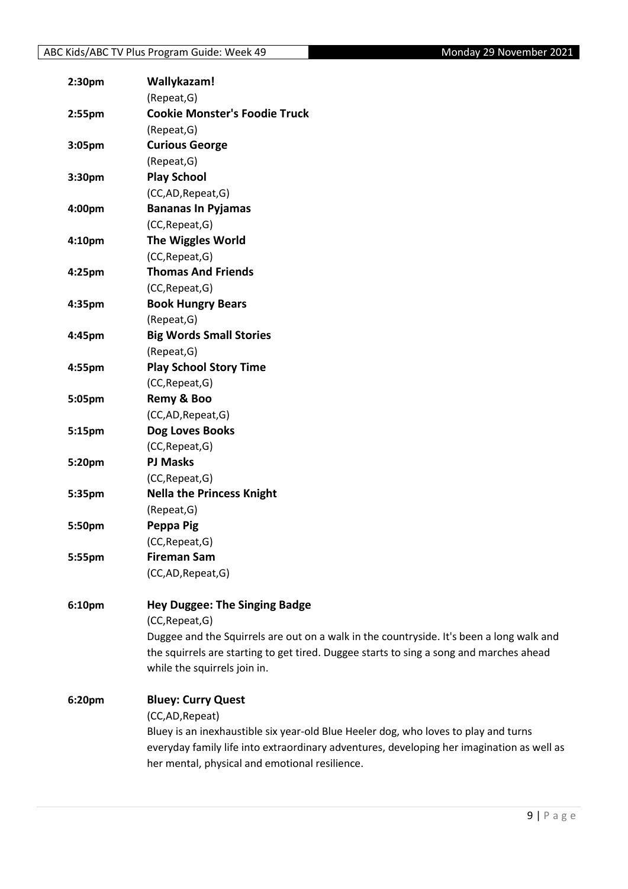| 2:30pm | Wallykazam!                                                                               |
|--------|-------------------------------------------------------------------------------------------|
|        | (Repeat, G)                                                                               |
| 2:55pm | <b>Cookie Monster's Foodie Truck</b>                                                      |
|        | (Repeat, G)                                                                               |
| 3:05pm | <b>Curious George</b>                                                                     |
|        | (Repeat, G)                                                                               |
| 3:30pm | <b>Play School</b>                                                                        |
|        | (CC,AD,Repeat,G)                                                                          |
| 4:00pm | <b>Bananas In Pyjamas</b>                                                                 |
|        | (CC, Repeat, G)                                                                           |
| 4:10pm | The Wiggles World                                                                         |
|        | (CC, Repeat, G)                                                                           |
| 4:25pm | <b>Thomas And Friends</b>                                                                 |
|        | (CC, Repeat, G)                                                                           |
| 4:35pm | <b>Book Hungry Bears</b>                                                                  |
|        | (Repeat, G)                                                                               |
| 4:45pm | <b>Big Words Small Stories</b>                                                            |
|        | (Repeat, G)                                                                               |
| 4:55pm | <b>Play School Story Time</b>                                                             |
|        | (CC, Repeat, G)                                                                           |
| 5:05pm | Remy & Boo                                                                                |
|        | (CC,AD,Repeat,G)                                                                          |
| 5:15pm | Dog Loves Books                                                                           |
|        | (CC, Repeat, G)                                                                           |
| 5:20pm | <b>PJ Masks</b>                                                                           |
|        | (CC, Repeat, G)                                                                           |
| 5:35pm | <b>Nella the Princess Knight</b>                                                          |
|        | (Repeat, G)                                                                               |
| 5:50pm | Peppa Pig                                                                                 |
|        | (CC, Repeat, G)                                                                           |
| 5:55pm | <b>Fireman Sam</b>                                                                        |
|        | (CC,AD,Repeat,G)                                                                          |
|        |                                                                                           |
| 6:10pm | <b>Hey Duggee: The Singing Badge</b>                                                      |
|        | (CC, Repeat, G)                                                                           |
|        | Duggee and the Squirrels are out on a walk in the countryside. It's been a long walk and  |
|        | the squirrels are starting to get tired. Duggee starts to sing a song and marches ahead   |
|        | while the squirrels join in.                                                              |
| 6:20pm | <b>Bluey: Curry Quest</b>                                                                 |
|        | (CC,AD,Repeat)                                                                            |
|        | Bluey is an inexhaustible six year-old Blue Heeler dog, who loves to play and turns       |
|        | everyday family life into extraordinary adventures, developing her imagination as well as |
|        | her mental, physical and emotional resilience.                                            |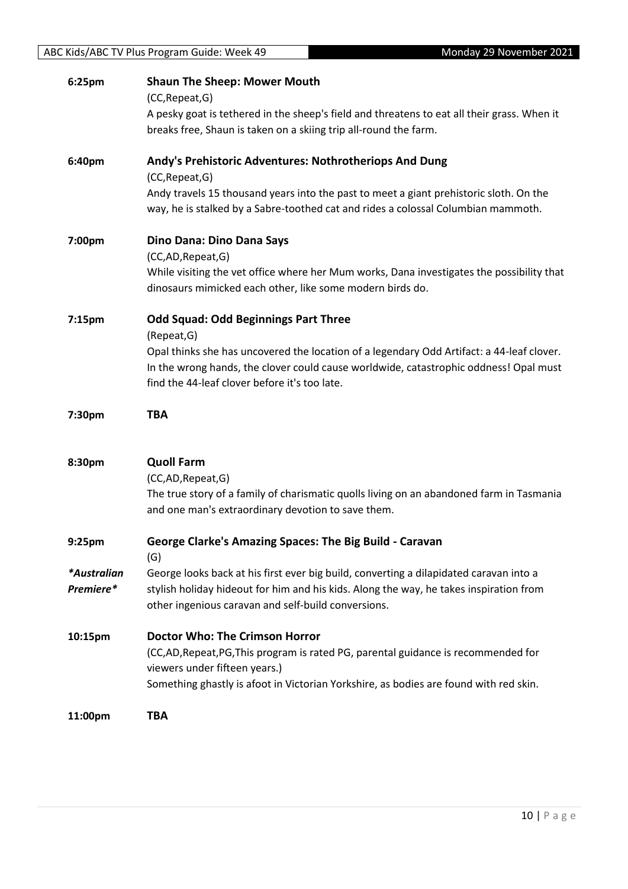| 6:25pm      | <b>Shaun The Sheep: Mower Mouth</b>                                                                                                                    |
|-------------|--------------------------------------------------------------------------------------------------------------------------------------------------------|
|             | (CC, Repeat, G)                                                                                                                                        |
|             | A pesky goat is tethered in the sheep's field and threatens to eat all their grass. When it                                                            |
|             | breaks free, Shaun is taken on a skiing trip all-round the farm.                                                                                       |
| 6:40pm      | Andy's Prehistoric Adventures: Nothrotheriops And Dung<br>(CC, Repeat, G)                                                                              |
|             | Andy travels 15 thousand years into the past to meet a giant prehistoric sloth. On the                                                                 |
|             | way, he is stalked by a Sabre-toothed cat and rides a colossal Columbian mammoth.                                                                      |
| 7:00pm      | Dino Dana: Dino Dana Says                                                                                                                              |
|             | (CC,AD, Repeat, G)                                                                                                                                     |
|             | While visiting the vet office where her Mum works, Dana investigates the possibility that<br>dinosaurs mimicked each other, like some modern birds do. |
| 7:15pm      | <b>Odd Squad: Odd Beginnings Part Three</b><br>(Repeat, G)                                                                                             |
|             | Opal thinks she has uncovered the location of a legendary Odd Artifact: a 44-leaf clover.                                                              |
|             | In the wrong hands, the clover could cause worldwide, catastrophic oddness! Opal must                                                                  |
|             | find the 44-leaf clover before it's too late.                                                                                                          |
|             |                                                                                                                                                        |
|             |                                                                                                                                                        |
| 7:30pm      | <b>TBA</b>                                                                                                                                             |
|             |                                                                                                                                                        |
| 8:30pm      | <b>Quoll Farm</b>                                                                                                                                      |
|             | (CC,AD,Repeat,G)                                                                                                                                       |
|             | The true story of a family of charismatic quolls living on an abandoned farm in Tasmania                                                               |
|             | and one man's extraordinary devotion to save them.                                                                                                     |
| 9:25pm      | <b>George Clarke's Amazing Spaces: The Big Build - Caravan</b>                                                                                         |
| *Australian | (G)<br>George looks back at his first ever big build, converting a dilapidated caravan into a                                                          |
| Premiere*   | stylish holiday hideout for him and his kids. Along the way, he takes inspiration from                                                                 |
|             | other ingenious caravan and self-build conversions.                                                                                                    |
| 10:15pm     | <b>Doctor Who: The Crimson Horror</b>                                                                                                                  |
|             | (CC,AD,Repeat,PG,This program is rated PG, parental guidance is recommended for                                                                        |
|             | viewers under fifteen years.)                                                                                                                          |
|             | Something ghastly is afoot in Victorian Yorkshire, as bodies are found with red skin.                                                                  |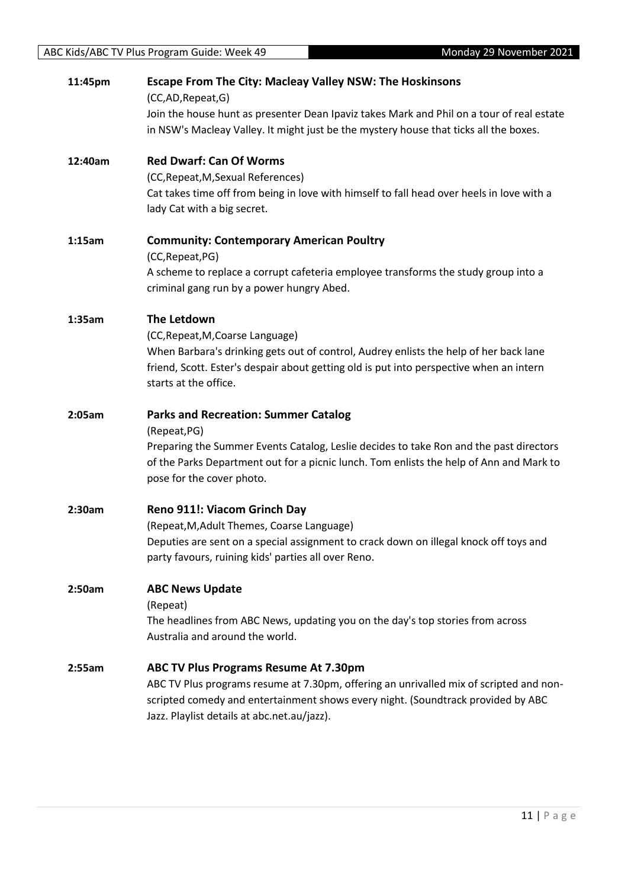| 11:45pm | <b>Escape From The City: Macleay Valley NSW: The Hoskinsons</b><br>(CC,AD,Repeat,G)<br>Join the house hunt as presenter Dean Ipaviz takes Mark and Phil on a tour of real estate<br>in NSW's Macleay Valley. It might just be the mystery house that ticks all the boxes.     |
|---------|-------------------------------------------------------------------------------------------------------------------------------------------------------------------------------------------------------------------------------------------------------------------------------|
| 12:40am | <b>Red Dwarf: Can Of Worms</b><br>(CC, Repeat, M, Sexual References)<br>Cat takes time off from being in love with himself to fall head over heels in love with a<br>lady Cat with a big secret.                                                                              |
| 1:15am  | <b>Community: Contemporary American Poultry</b><br>(CC, Repeat, PG)<br>A scheme to replace a corrupt cafeteria employee transforms the study group into a<br>criminal gang run by a power hungry Abed.                                                                        |
| 1:35am  | The Letdown<br>(CC, Repeat, M, Coarse Language)<br>When Barbara's drinking gets out of control, Audrey enlists the help of her back lane<br>friend, Scott. Ester's despair about getting old is put into perspective when an intern<br>starts at the office.                  |
| 2:05am  | <b>Parks and Recreation: Summer Catalog</b><br>(Repeat, PG)<br>Preparing the Summer Events Catalog, Leslie decides to take Ron and the past directors<br>of the Parks Department out for a picnic lunch. Tom enlists the help of Ann and Mark to<br>pose for the cover photo. |
| 2:30am  | Reno 911!: Viacom Grinch Day<br>(Repeat, M, Adult Themes, Coarse Language)<br>Deputies are sent on a special assignment to crack down on illegal knock off toys and<br>party favours, ruining kids' parties all over Reno.                                                    |
| 2:50am  | <b>ABC News Update</b><br>(Repeat)<br>The headlines from ABC News, updating you on the day's top stories from across<br>Australia and around the world.                                                                                                                       |
| 2:55am  | <b>ABC TV Plus Programs Resume At 7.30pm</b><br>ABC TV Plus programs resume at 7.30pm, offering an unrivalled mix of scripted and non-<br>scripted comedy and entertainment shows every night. (Soundtrack provided by ABC<br>Jazz. Playlist details at abc.net.au/jazz).     |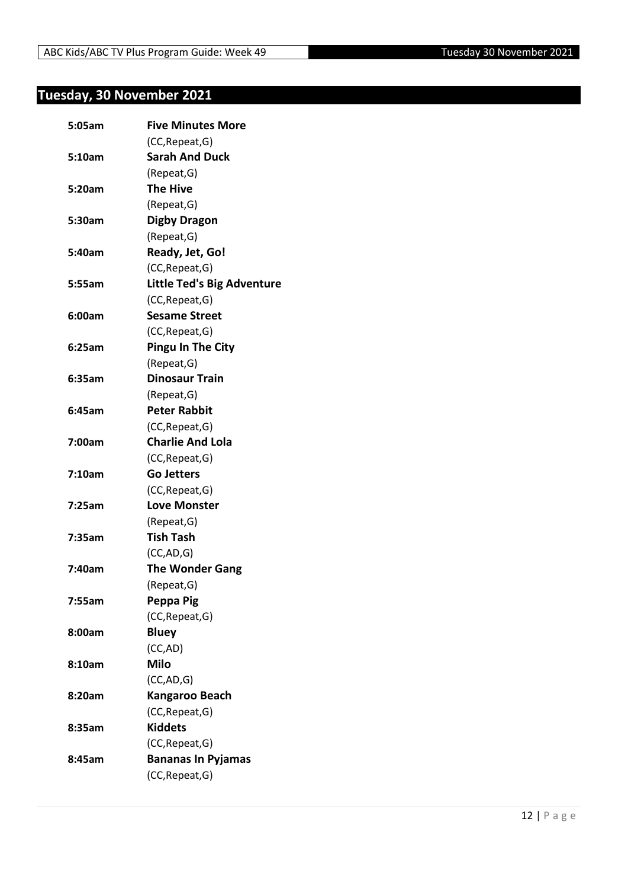### <span id="page-11-0"></span>**Tuesday, 30 November 2021**

| 5:05am | <b>Five Minutes More</b>          |
|--------|-----------------------------------|
|        | (CC, Repeat, G)                   |
| 5:10am | <b>Sarah And Duck</b>             |
|        | (Repeat, G)                       |
| 5:20am | <b>The Hive</b>                   |
|        | (Repeat, G)                       |
| 5:30am | <b>Digby Dragon</b>               |
|        | (Repeat, G)                       |
| 5:40am | Ready, Jet, Go!                   |
|        | (CC, Repeat, G)                   |
| 5:55am | <b>Little Ted's Big Adventure</b> |
|        | (CC, Repeat, G)                   |
| 6:00am | <b>Sesame Street</b>              |
|        | (CC, Repeat, G)                   |
| 6:25am | <b>Pingu In The City</b>          |
|        | (Repeat, G)                       |
| 6:35am | <b>Dinosaur Train</b>             |
|        | (Repeat, G)                       |
| 6:45am | <b>Peter Rabbit</b>               |
|        | (CC, Repeat, G)                   |
| 7:00am | <b>Charlie And Lola</b>           |
|        | (CC, Repeat, G)                   |
| 7:10am | <b>Go Jetters</b>                 |
|        | (CC, Repeat, G)                   |
| 7:25am | <b>Love Monster</b>               |
|        | (Repeat, G)                       |
| 7:35am | <b>Tish Tash</b>                  |
|        | (CC, AD, G)                       |
| 7:40am | <b>The Wonder Gang</b>            |
|        | (Repeat, G)                       |
| 7:55am | Peppa Pig                         |
|        | (CC, Repeat, G)                   |
| 8:00am | <b>Bluey</b>                      |
|        | (CC,AD)                           |
| 8:10am | <b>Milo</b>                       |
|        | (CC, AD, G)                       |
| 8:20am | <b>Kangaroo Beach</b>             |
|        | (CC, Repeat, G)                   |
| 8:35am | <b>Kiddets</b>                    |
|        | (CC, Repeat, G)                   |
| 8:45am | <b>Bananas In Pyjamas</b>         |
|        | (CC, Repeat, G)                   |
|        |                                   |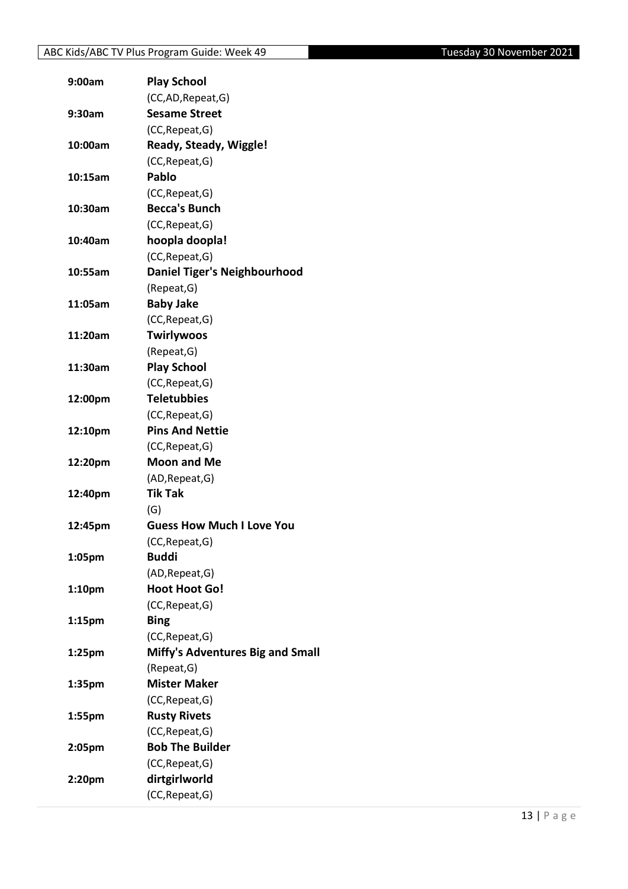| 9:00am             | <b>Play School</b>               |
|--------------------|----------------------------------|
|                    | (CC,AD, Repeat, G)               |
| 9:30am             | <b>Sesame Street</b>             |
|                    | (CC, Repeat, G)                  |
| 10:00am            | Ready, Steady, Wiggle!           |
|                    | (CC, Repeat, G)                  |
| 10:15am            | Pablo                            |
|                    | (CC, Repeat, G)                  |
| 10:30am            | <b>Becca's Bunch</b>             |
|                    | (CC, Repeat, G)                  |
| 10:40am            | hoopla doopla!                   |
|                    | (CC, Repeat, G)                  |
| 10:55am            | Daniel Tiger's Neighbourhood     |
|                    | (Repeat, G)                      |
| 11:05am            | <b>Baby Jake</b>                 |
|                    | (CC, Repeat, G)                  |
| 11:20am            | <b>Twirlywoos</b>                |
|                    | (Repeat, G)                      |
| 11:30am            | <b>Play School</b>               |
|                    | (CC, Repeat, G)                  |
| 12:00pm            | <b>Teletubbies</b>               |
|                    | (CC, Repeat, G)                  |
| 12:10pm            | <b>Pins And Nettie</b>           |
|                    | (CC, Repeat, G)                  |
| 12:20pm            | <b>Moon and Me</b>               |
|                    | (AD, Repeat, G)                  |
| 12:40pm            | <b>Tik Tak</b>                   |
|                    | (G)                              |
| 12:45pm            | <b>Guess How Much I Love You</b> |
|                    | (CC, Repeat, G)                  |
| 1:05pm             | <b>Buddi</b>                     |
|                    | (AD, Repeat, G)                  |
| 1:10 <sub>pm</sub> | <b>Hoot Hoot Go!</b>             |
|                    | (CC, Repeat, G)                  |
| 1:15 <sub>pm</sub> | <b>Bing</b>                      |
|                    | (CC, Repeat, G)                  |
| $1:25$ pm          | Miffy's Adventures Big and Small |
|                    | (Repeat, G)                      |
| 1:35pm             | <b>Mister Maker</b>              |
|                    | (CC, Repeat, G)                  |
| 1:55pm             | <b>Rusty Rivets</b>              |
|                    | (CC, Repeat, G)                  |
| 2:05pm             | <b>Bob The Builder</b>           |
|                    | (CC, Repeat, G)                  |
| 2:20pm             | dirtgirlworld                    |
|                    | (CC, Repeat, G)                  |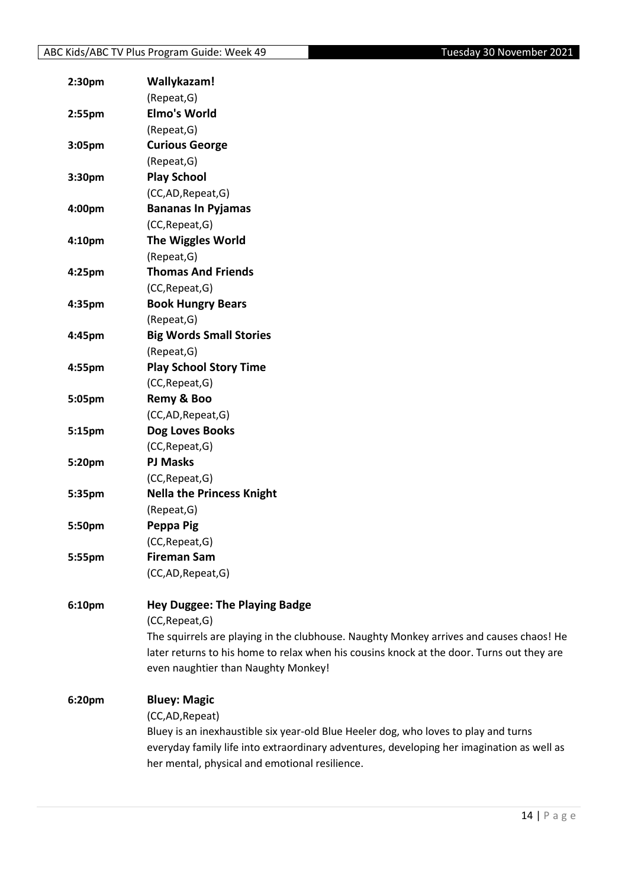| 2:30 <sub>pm</sub> | Wallykazam!                                                                               |
|--------------------|-------------------------------------------------------------------------------------------|
|                    | (Repeat, G)                                                                               |
| $2:55$ pm          | <b>Elmo's World</b>                                                                       |
|                    | (Repeat, G)                                                                               |
| 3:05pm             | <b>Curious George</b>                                                                     |
|                    | (Repeat, G)                                                                               |
| 3:30pm             | <b>Play School</b>                                                                        |
|                    | (CC,AD,Repeat,G)                                                                          |
| 4:00pm             | <b>Bananas In Pyjamas</b>                                                                 |
|                    | (CC, Repeat, G)                                                                           |
| 4:10 <sub>pm</sub> | <b>The Wiggles World</b>                                                                  |
|                    | (Repeat, G)                                                                               |
| 4:25pm             | <b>Thomas And Friends</b>                                                                 |
|                    | (CC, Repeat, G)                                                                           |
| 4:35pm             | <b>Book Hungry Bears</b>                                                                  |
|                    | (Repeat, G)                                                                               |
| 4:45pm             | <b>Big Words Small Stories</b>                                                            |
|                    | (Repeat, G)                                                                               |
| 4:55pm             | <b>Play School Story Time</b>                                                             |
|                    | (CC, Repeat, G)                                                                           |
| 5:05pm             | Remy & Boo                                                                                |
|                    | (CC,AD,Repeat,G)                                                                          |
| 5:15pm             | Dog Loves Books                                                                           |
|                    | (CC, Repeat, G)                                                                           |
| 5:20pm             | <b>PJ Masks</b>                                                                           |
|                    | (CC, Repeat, G)                                                                           |
| 5:35pm             | <b>Nella the Princess Knight</b>                                                          |
|                    | (Repeat, G)                                                                               |
| 5:50pm             | Peppa Pig                                                                                 |
|                    | (CC, Repeat, G)                                                                           |
| 5:55pm             | <b>Fireman Sam</b>                                                                        |
|                    | (CC,AD,Repeat,G)                                                                          |
|                    |                                                                                           |
| 6:10pm             | <b>Hey Duggee: The Playing Badge</b>                                                      |
|                    | (CC, Repeat, G)                                                                           |
|                    | The squirrels are playing in the clubhouse. Naughty Monkey arrives and causes chaos! He   |
|                    | later returns to his home to relax when his cousins knock at the door. Turns out they are |
|                    | even naughtier than Naughty Monkey!                                                       |
| 6:20pm             | <b>Bluey: Magic</b>                                                                       |
|                    | (CC,AD, Repeat)                                                                           |
|                    | Bluey is an inexhaustible six year-old Blue Heeler dog, who loves to play and turns       |
|                    | everyday family life into extraordinary adventures, developing her imagination as well as |
|                    | her mental, physical and emotional resilience.                                            |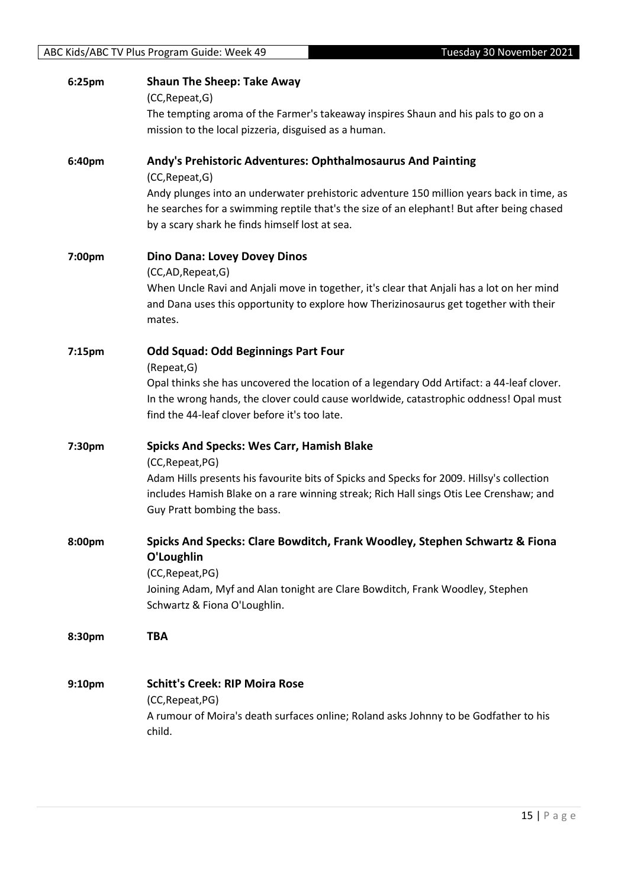|        | The tempting aroma of the Farmer's takeaway inspires Shaun and his pals to go on a<br>mission to the local pizzeria, disguised as a human. |
|--------|--------------------------------------------------------------------------------------------------------------------------------------------|
| 6:40pm | Andy's Prehistoric Adventures: Ophthalmosaurus And Painting<br>(CC, Repeat, G)                                                             |
|        | Andy plunges into an underwater prehistoric adventure 150 million years back in time, as                                                   |
|        | he searches for a swimming reptile that's the size of an elephant! But after being chased                                                  |
|        | by a scary shark he finds himself lost at sea.                                                                                             |
| 7:00pm | <b>Dino Dana: Lovey Dovey Dinos</b>                                                                                                        |
|        | (CC,AD, Repeat, G)                                                                                                                         |
|        | When Uncle Ravi and Anjali move in together, it's clear that Anjali has a lot on her mind                                                  |
|        | and Dana uses this opportunity to explore how Therizinosaurus get together with their<br>mates.                                            |
| 7:15pm | <b>Odd Squad: Odd Beginnings Part Four</b>                                                                                                 |
|        | (Repeat, G)                                                                                                                                |
|        | Opal thinks she has uncovered the location of a legendary Odd Artifact: a 44-leaf clover.                                                  |
|        | In the wrong hands, the clover could cause worldwide, catastrophic oddness! Opal must                                                      |
|        | find the 44-leaf clover before it's too late.                                                                                              |
| 7:30pm | <b>Spicks And Specks: Wes Carr, Hamish Blake</b>                                                                                           |
|        | (CC, Repeat, PG)                                                                                                                           |
|        | Adam Hills presents his favourite bits of Spicks and Specks for 2009. Hillsy's collection                                                  |
|        | includes Hamish Blake on a rare winning streak; Rich Hall sings Otis Lee Crenshaw; and<br>Guy Pratt bombing the bass.                      |
| 8:00pm | Spicks And Specks: Clare Bowditch, Frank Woodley, Stephen Schwartz & Fiona                                                                 |
|        | O'Loughlin                                                                                                                                 |
|        | (CC, Repeat, PG)                                                                                                                           |
|        | Joining Adam, Myf and Alan tonight are Clare Bowditch, Frank Woodley, Stephen                                                              |
|        | Schwartz & Fiona O'Loughlin.                                                                                                               |
| 8:30pm | <b>TBA</b>                                                                                                                                 |
| 9:10pm | <b>Schitt's Creek: RIP Moira Rose</b>                                                                                                      |
|        | (CC, Repeat, PG)                                                                                                                           |
|        | A rumour of Moira's death surfaces online; Roland asks Johnny to be Godfather to his                                                       |

#### ABC Kids/ABC TV Plus Program Guide: Week 49 Tuesday 30 November 2021

child.

**6:25pm Shaun The Sheep: Take Away** (CC,Repeat,G)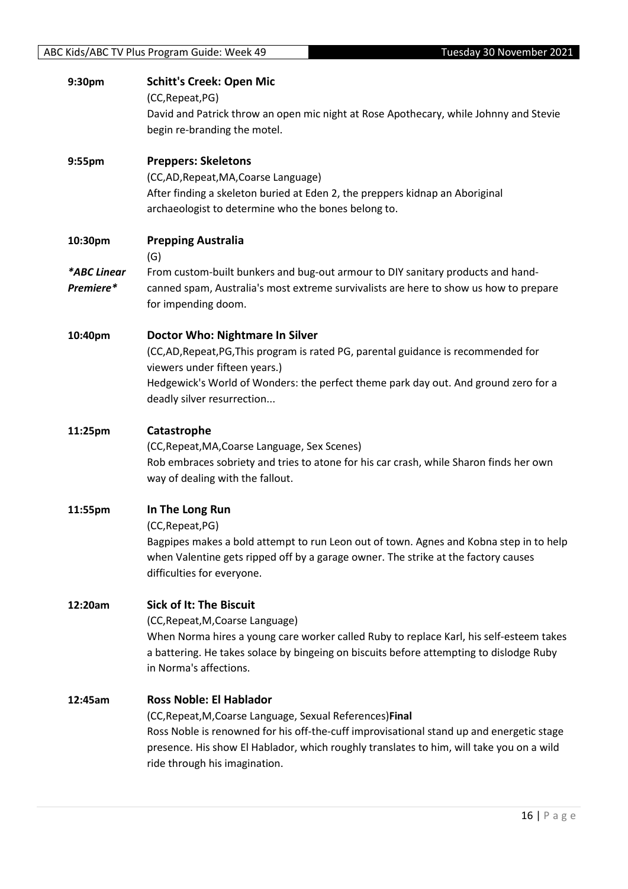| 9:30pm                   | <b>Schitt's Creek: Open Mic</b><br>(CC, Repeat, PG)<br>David and Patrick throw an open mic night at Rose Apothecary, while Johnny and Stevie<br>begin re-branding the motel.                                                                                                                                         |
|--------------------------|----------------------------------------------------------------------------------------------------------------------------------------------------------------------------------------------------------------------------------------------------------------------------------------------------------------------|
| 9:55pm                   | <b>Preppers: Skeletons</b><br>(CC,AD, Repeat, MA, Coarse Language)<br>After finding a skeleton buried at Eden 2, the preppers kidnap an Aboriginal<br>archaeologist to determine who the bones belong to.                                                                                                            |
| 10:30pm                  | <b>Prepping Australia</b><br>(G)                                                                                                                                                                                                                                                                                     |
| *ABC Linear<br>Premiere* | From custom-built bunkers and bug-out armour to DIY sanitary products and hand-<br>canned spam, Australia's most extreme survivalists are here to show us how to prepare<br>for impending doom.                                                                                                                      |
| 10:40pm                  | Doctor Who: Nightmare In Silver<br>(CC,AD, Repeat, PG, This program is rated PG, parental guidance is recommended for<br>viewers under fifteen years.)<br>Hedgewick's World of Wonders: the perfect theme park day out. And ground zero for a<br>deadly silver resurrection                                          |
| 11:25pm                  | Catastrophe<br>(CC, Repeat, MA, Coarse Language, Sex Scenes)<br>Rob embraces sobriety and tries to atone for his car crash, while Sharon finds her own<br>way of dealing with the fallout.                                                                                                                           |
| 11:55pm                  | In The Long Run<br>(CC, Repeat, PG)<br>Bagpipes makes a bold attempt to run Leon out of town. Agnes and Kobna step in to help<br>when Valentine gets ripped off by a garage owner. The strike at the factory causes<br>difficulties for everyone.                                                                    |
| 12:20am                  | <b>Sick of It: The Biscuit</b><br>(CC, Repeat, M, Coarse Language)<br>When Norma hires a young care worker called Ruby to replace Karl, his self-esteem takes<br>a battering. He takes solace by bingeing on biscuits before attempting to dislodge Ruby<br>in Norma's affections.                                   |
| 12:45am                  | <b>Ross Noble: El Hablador</b><br>(CC, Repeat, M, Coarse Language, Sexual References) Final<br>Ross Noble is renowned for his off-the-cuff improvisational stand up and energetic stage<br>presence. His show El Hablador, which roughly translates to him, will take you on a wild<br>ride through his imagination. |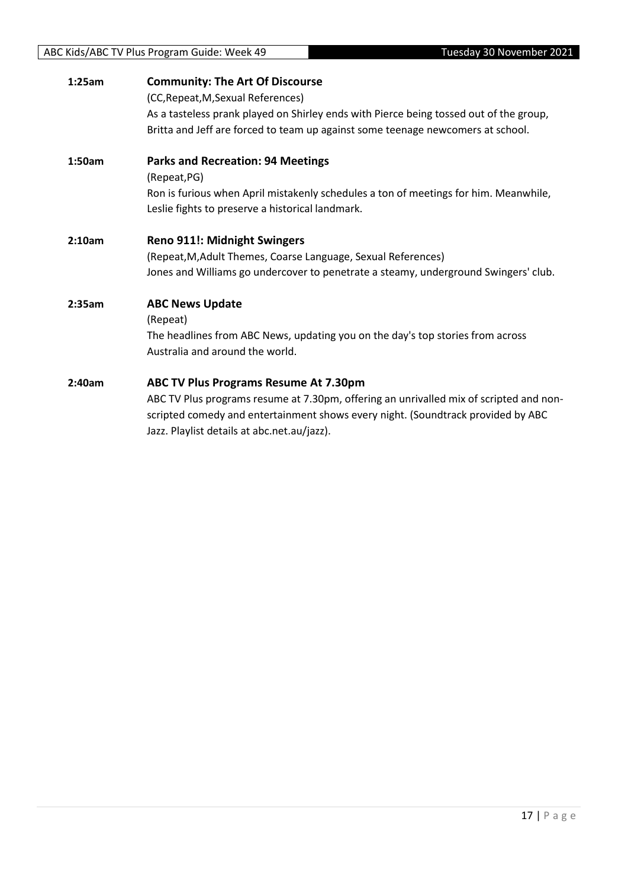#### ABC Kids/ABC TV Plus Program Guide: Week 49 Tuesday 30 November 2021

| 1:25am | <b>Community: The Art Of Discourse</b><br>(CC, Repeat, M, Sexual References)<br>As a tasteless prank played on Shirley ends with Pierce being tossed out of the group,<br>Britta and Jeff are forced to team up against some teenage newcomers at school.          |
|--------|--------------------------------------------------------------------------------------------------------------------------------------------------------------------------------------------------------------------------------------------------------------------|
| 1:50am | <b>Parks and Recreation: 94 Meetings</b><br>(Repeat, PG)<br>Ron is furious when April mistakenly schedules a ton of meetings for him. Meanwhile,<br>Leslie fights to preserve a historical landmark.                                                               |
| 2:10am | <b>Reno 911!: Midnight Swingers</b><br>(Repeat, M, Adult Themes, Coarse Language, Sexual References)<br>Jones and Williams go undercover to penetrate a steamy, underground Swingers' club.                                                                        |
| 2:35am | <b>ABC News Update</b><br>(Repeat)<br>The headlines from ABC News, updating you on the day's top stories from across<br>Australia and around the world.                                                                                                            |
| 2:40am | ABC TV Plus Programs Resume At 7.30pm<br>ABC TV Plus programs resume at 7.30pm, offering an unrivalled mix of scripted and non-<br>scripted comedy and entertainment shows every night. (Soundtrack provided by ABC<br>Jazz. Playlist details at abc.net.au/jazz). |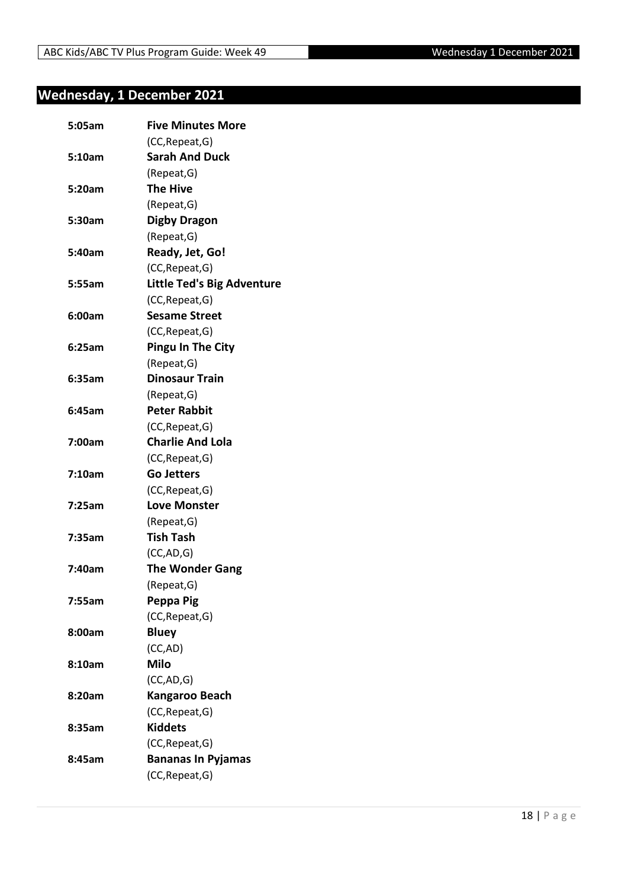#### <span id="page-17-0"></span>**Wednesday, 1 December 2021**

| 5:05am | <b>Five Minutes More</b>          |
|--------|-----------------------------------|
|        | (CC, Repeat, G)                   |
| 5:10am | <b>Sarah And Duck</b>             |
|        | (Repeat, G)                       |
| 5:20am | <b>The Hive</b>                   |
|        | (Repeat, G)                       |
| 5:30am | <b>Digby Dragon</b>               |
|        | (Repeat, G)                       |
| 5:40am | Ready, Jet, Go!                   |
|        | (CC, Repeat, G)                   |
| 5:55am | <b>Little Ted's Big Adventure</b> |
|        | (CC, Repeat, G)                   |
| 6:00am | <b>Sesame Street</b>              |
|        | (CC, Repeat, G)                   |
| 6:25am | <b>Pingu In The City</b>          |
|        | (Repeat, G)                       |
| 6:35am | <b>Dinosaur Train</b>             |
|        | (Repeat, G)                       |
| 6:45am | <b>Peter Rabbit</b>               |
|        | (CC, Repeat, G)                   |
| 7:00am | <b>Charlie And Lola</b>           |
|        | (CC, Repeat, G)                   |
| 7:10am | <b>Go Jetters</b>                 |
|        | (CC, Repeat, G)                   |
| 7:25am | <b>Love Monster</b>               |
|        | (Repeat, G)                       |
| 7:35am | <b>Tish Tash</b>                  |
|        | (CC, AD, G)                       |
| 7:40am | <b>The Wonder Gang</b>            |
|        | (Repeat, G)                       |
| 7:55am | Peppa Pig                         |
|        | (CC, Repeat, G)                   |
| 8:00am | <b>Bluey</b>                      |
|        | (CC,AD)                           |
| 8:10am | <b>Milo</b>                       |
|        | (CC,AD,G)                         |
| 8:20am | Kangaroo Beach                    |
|        | (CC, Repeat, G)                   |
| 8:35am | <b>Kiddets</b>                    |
|        | (CC, Repeat, G)                   |
| 8:45am | <b>Bananas In Pyjamas</b>         |
|        | (CC, Repeat, G)                   |
|        |                                   |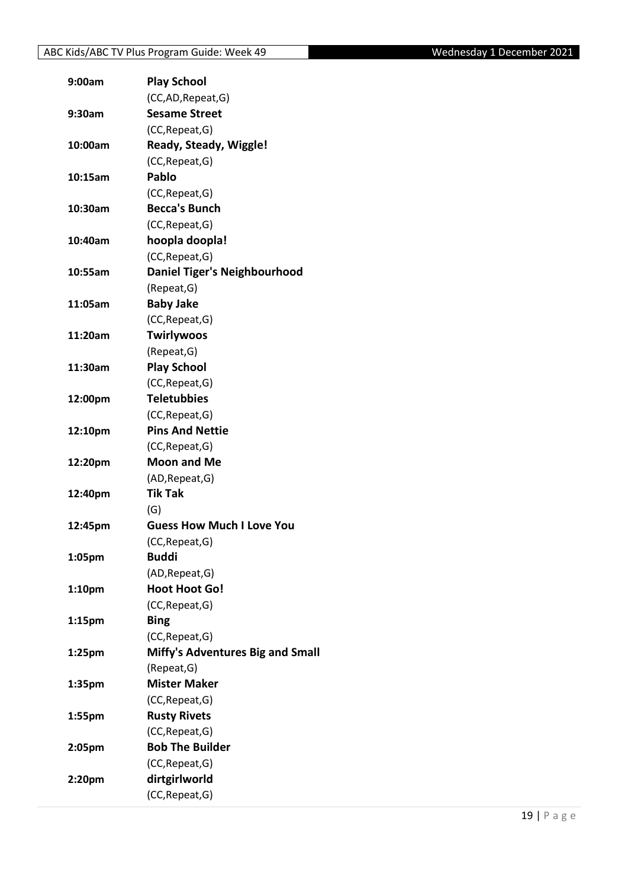| 9:00am             | <b>Play School</b>                      |
|--------------------|-----------------------------------------|
|                    | (CC,AD, Repeat, G)                      |
| 9:30am             | <b>Sesame Street</b>                    |
|                    | (CC, Repeat, G)                         |
| 10:00am            | Ready, Steady, Wiggle!                  |
|                    | (CC, Repeat, G)                         |
| 10:15am            | Pablo                                   |
|                    | (CC, Repeat, G)                         |
| 10:30am            | <b>Becca's Bunch</b>                    |
|                    | (CC, Repeat, G)                         |
| 10:40am            | hoopla doopla!                          |
|                    | (CC, Repeat, G)                         |
| 10:55am            | <b>Daniel Tiger's Neighbourhood</b>     |
|                    | (Repeat, G)                             |
| 11:05am            | <b>Baby Jake</b>                        |
|                    | (CC, Repeat, G)                         |
| 11:20am            | <b>Twirlywoos</b>                       |
|                    | (Repeat, G)                             |
| 11:30am            | <b>Play School</b>                      |
|                    | (CC, Repeat, G)                         |
| 12:00pm            | <b>Teletubbies</b>                      |
|                    | (CC, Repeat, G)                         |
| 12:10pm            | <b>Pins And Nettie</b>                  |
|                    | (CC, Repeat, G)                         |
| 12:20pm            | <b>Moon and Me</b>                      |
|                    | (AD, Repeat, G)                         |
| 12:40pm            | <b>Tik Tak</b>                          |
|                    | (G)                                     |
| 12:45pm            | <b>Guess How Much I Love You</b>        |
|                    | (CC, Repeat, G)                         |
| 1:05pm             | <b>Buddi</b>                            |
|                    | (AD, Repeat, G)                         |
| 1:10 <sub>pm</sub> | <b>Hoot Hoot Go!</b>                    |
|                    | (CC, Repeat, G)                         |
| 1:15 <sub>pm</sub> | <b>Bing</b>                             |
|                    | (CC, Repeat, G)                         |
| 1:25 <sub>pm</sub> | <b>Miffy's Adventures Big and Small</b> |
|                    | (Repeat, G)                             |
| 1:35pm             | <b>Mister Maker</b>                     |
|                    | (CC, Repeat, G)                         |
| 1:55pm             | <b>Rusty Rivets</b>                     |
|                    | (CC, Repeat, G)                         |
| 2:05pm             | <b>Bob The Builder</b>                  |
|                    | (CC, Repeat, G)                         |
| 2:20pm             | dirtgirlworld                           |
|                    | (CC, Repeat, G)                         |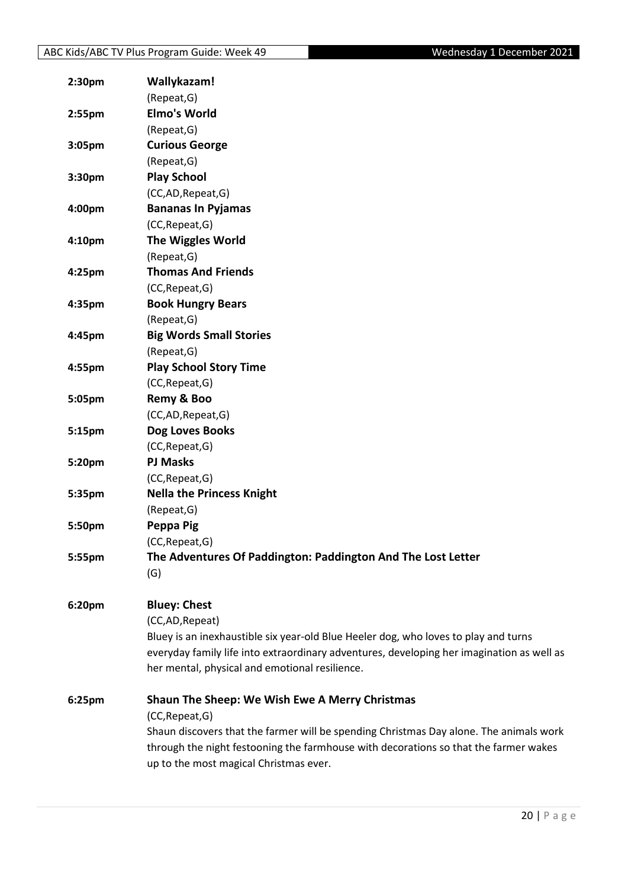| 2:30 <sub>pm</sub> | Wallykazam!                                                                               |
|--------------------|-------------------------------------------------------------------------------------------|
|                    | (Repeat, G)                                                                               |
| 2:55pm             | <b>Elmo's World</b>                                                                       |
|                    | (Repeat, G)                                                                               |
| 3:05 <sub>pm</sub> | <b>Curious George</b>                                                                     |
|                    | (Repeat, G)                                                                               |
| 3:30pm             | <b>Play School</b>                                                                        |
|                    | (CC,AD,Repeat,G)                                                                          |
| 4:00pm             | <b>Bananas In Pyjamas</b>                                                                 |
|                    | (CC, Repeat, G)                                                                           |
| 4:10pm             | <b>The Wiggles World</b>                                                                  |
|                    | (Repeat, G)                                                                               |
| 4:25pm             | <b>Thomas And Friends</b>                                                                 |
|                    | (CC, Repeat, G)                                                                           |
| 4:35pm             | <b>Book Hungry Bears</b>                                                                  |
|                    | (Repeat, G)                                                                               |
| 4:45pm             | <b>Big Words Small Stories</b>                                                            |
|                    | (Repeat, G)                                                                               |
| 4:55pm             | <b>Play School Story Time</b>                                                             |
|                    | (CC, Repeat, G)                                                                           |
| 5:05pm             | Remy & Boo                                                                                |
|                    | (CC,AD,Repeat,G)                                                                          |
| 5:15pm             | Dog Loves Books                                                                           |
|                    | (CC, Repeat, G)                                                                           |
| 5:20pm             | <b>PJ Masks</b>                                                                           |
|                    | (CC, Repeat, G)                                                                           |
| 5:35pm             | <b>Nella the Princess Knight</b>                                                          |
|                    | (Repeat, G)                                                                               |
| 5:50pm             | Peppa Pig                                                                                 |
|                    | (CC, Repeat, G)                                                                           |
| 5:55pm             | The Adventures Of Paddington: Paddington And The Lost Letter                              |
|                    | (G)                                                                                       |
|                    |                                                                                           |
| 6:20pm             | <b>Bluey: Chest</b>                                                                       |
|                    | (CC,AD, Repeat)                                                                           |
|                    | Bluey is an inexhaustible six year-old Blue Heeler dog, who loves to play and turns       |
|                    | everyday family life into extraordinary adventures, developing her imagination as well as |
|                    | her mental, physical and emotional resilience.                                            |
| 6:25pm             | <b>Shaun The Sheep: We Wish Ewe A Merry Christmas</b>                                     |
|                    | (CC, Repeat, G)                                                                           |
|                    | Shaun discovers that the farmer will be spending Christmas Day alone. The animals work    |
|                    | through the night festooning the farmhouse with decorations so that the farmer wakes      |
|                    | up to the most magical Christmas ever.                                                    |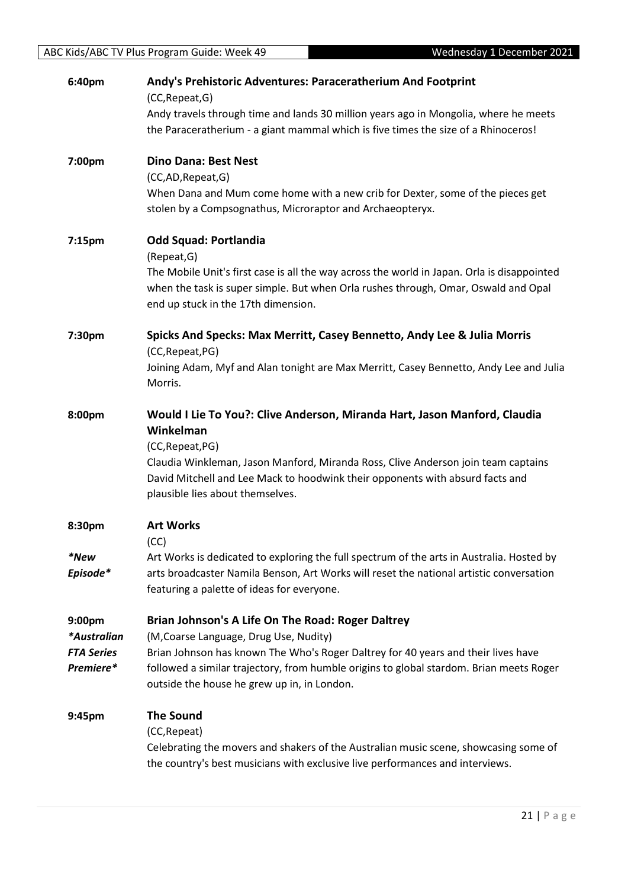| 6:40pm            | Andy's Prehistoric Adventures: Paraceratherium And Footprint<br>(CC, Repeat, G)                                                                                                      |
|-------------------|--------------------------------------------------------------------------------------------------------------------------------------------------------------------------------------|
|                   | Andy travels through time and lands 30 million years ago in Mongolia, where he meets                                                                                                 |
|                   | the Paraceratherium - a giant mammal which is five times the size of a Rhinoceros!                                                                                                   |
| 7:00pm            | <b>Dino Dana: Best Nest</b>                                                                                                                                                          |
|                   | (CC,AD, Repeat, G)                                                                                                                                                                   |
|                   | When Dana and Mum come home with a new crib for Dexter, some of the pieces get<br>stolen by a Compsognathus, Microraptor and Archaeopteryx.                                          |
| 7:15pm            | <b>Odd Squad: Portlandia</b>                                                                                                                                                         |
|                   | (Repeat, G)                                                                                                                                                                          |
|                   | The Mobile Unit's first case is all the way across the world in Japan. Orla is disappointed                                                                                          |
|                   | when the task is super simple. But when Orla rushes through, Omar, Oswald and Opal<br>end up stuck in the 17th dimension.                                                            |
| 7:30pm            | Spicks And Specks: Max Merritt, Casey Bennetto, Andy Lee & Julia Morris                                                                                                              |
|                   | (CC, Repeat, PG)                                                                                                                                                                     |
|                   | Joining Adam, Myf and Alan tonight are Max Merritt, Casey Bennetto, Andy Lee and Julia<br>Morris.                                                                                    |
| 8:00pm            | Would I Lie To You?: Clive Anderson, Miranda Hart, Jason Manford, Claudia                                                                                                            |
|                   | Winkelman                                                                                                                                                                            |
|                   | (CC, Repeat, PG)                                                                                                                                                                     |
|                   | Claudia Winkleman, Jason Manford, Miranda Ross, Clive Anderson join team captains<br>David Mitchell and Lee Mack to hoodwink their opponents with absurd facts and                   |
|                   | plausible lies about themselves.                                                                                                                                                     |
| 8:30pm            | <b>Art Works</b>                                                                                                                                                                     |
|                   | (CC)                                                                                                                                                                                 |
| *New<br>Episode*  | Art Works is dedicated to exploring the full spectrum of the arts in Australia. Hosted by<br>arts broadcaster Namila Benson, Art Works will reset the national artistic conversation |
|                   | featuring a palette of ideas for everyone.                                                                                                                                           |
| 9:00pm            | Brian Johnson's A Life On The Road: Roger Daltrey                                                                                                                                    |
| *Australian       | (M, Coarse Language, Drug Use, Nudity)                                                                                                                                               |
| <b>FTA Series</b> | Brian Johnson has known The Who's Roger Daltrey for 40 years and their lives have                                                                                                    |
| Premiere*         | followed a similar trajectory, from humble origins to global stardom. Brian meets Roger<br>outside the house he grew up in, in London.                                               |
| 9:45pm            | <b>The Sound</b>                                                                                                                                                                     |
|                   | (CC, Repeat)                                                                                                                                                                         |
|                   | Celebrating the movers and shakers of the Australian music scene, showcasing some of                                                                                                 |
|                   | the country's best musicians with exclusive live performances and interviews.                                                                                                        |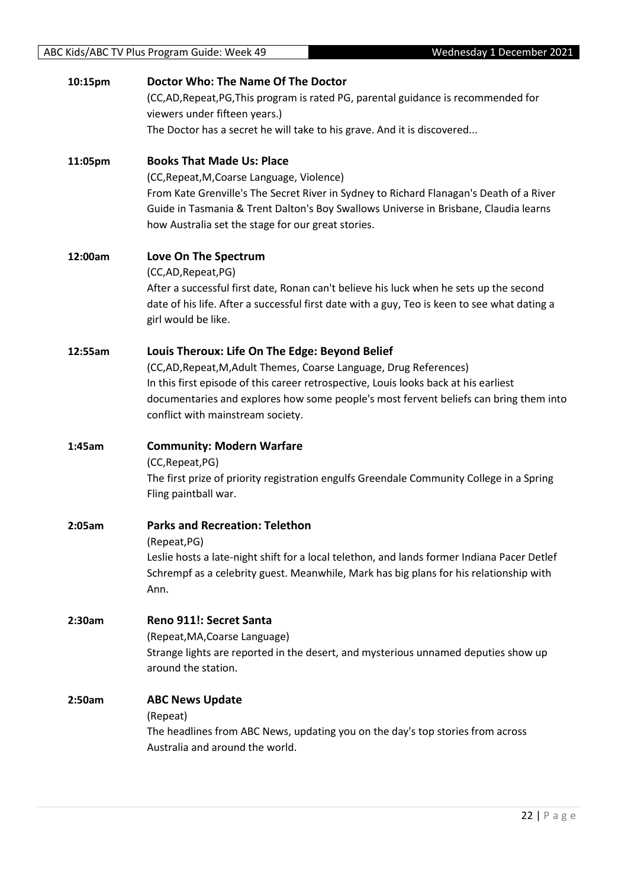| 10:15pm | Doctor Who: The Name Of The Doctor                                                           |
|---------|----------------------------------------------------------------------------------------------|
|         | (CC,AD,Repeat,PG,This program is rated PG, parental guidance is recommended for              |
|         | viewers under fifteen years.)                                                                |
|         | The Doctor has a secret he will take to his grave. And it is discovered                      |
| 11:05pm | <b>Books That Made Us: Place</b>                                                             |
|         | (CC, Repeat, M, Coarse Language, Violence)                                                   |
|         | From Kate Grenville's The Secret River in Sydney to Richard Flanagan's Death of a River      |
|         | Guide in Tasmania & Trent Dalton's Boy Swallows Universe in Brisbane, Claudia learns         |
|         | how Australia set the stage for our great stories.                                           |
| 12:00am | Love On The Spectrum                                                                         |
|         | (CC,AD,Repeat,PG)                                                                            |
|         | After a successful first date, Ronan can't believe his luck when he sets up the second       |
|         | date of his life. After a successful first date with a guy, Teo is keen to see what dating a |
|         | girl would be like.                                                                          |
| 12:55am | Louis Theroux: Life On The Edge: Beyond Belief                                               |
|         | (CC,AD, Repeat, M, Adult Themes, Coarse Language, Drug References)                           |
|         | In this first episode of this career retrospective, Louis looks back at his earliest         |
|         | documentaries and explores how some people's most fervent beliefs can bring them into        |
|         | conflict with mainstream society.                                                            |
| 1:45am  | <b>Community: Modern Warfare</b>                                                             |
|         | (CC, Repeat, PG)                                                                             |
|         | The first prize of priority registration engulfs Greendale Community College in a Spring     |
|         | Fling paintball war.                                                                         |
| 2:05am  | <b>Parks and Recreation: Telethon</b>                                                        |
|         | (Repeat, PG)                                                                                 |
|         | Leslie hosts a late-night shift for a local telethon, and lands former Indiana Pacer Detlef  |
|         | Schrempf as a celebrity guest. Meanwhile, Mark has big plans for his relationship with       |
|         | Ann.                                                                                         |
| 2:30am  | Reno 911!: Secret Santa                                                                      |
|         | (Repeat, MA, Coarse Language)                                                                |
|         | Strange lights are reported in the desert, and mysterious unnamed deputies show up           |
|         | around the station.                                                                          |
| 2:50am  | <b>ABC News Update</b>                                                                       |
|         | (Repeat)                                                                                     |
|         | The headlines from ABC News, updating you on the day's top stories from across               |
|         | Australia and around the world.                                                              |
|         |                                                                                              |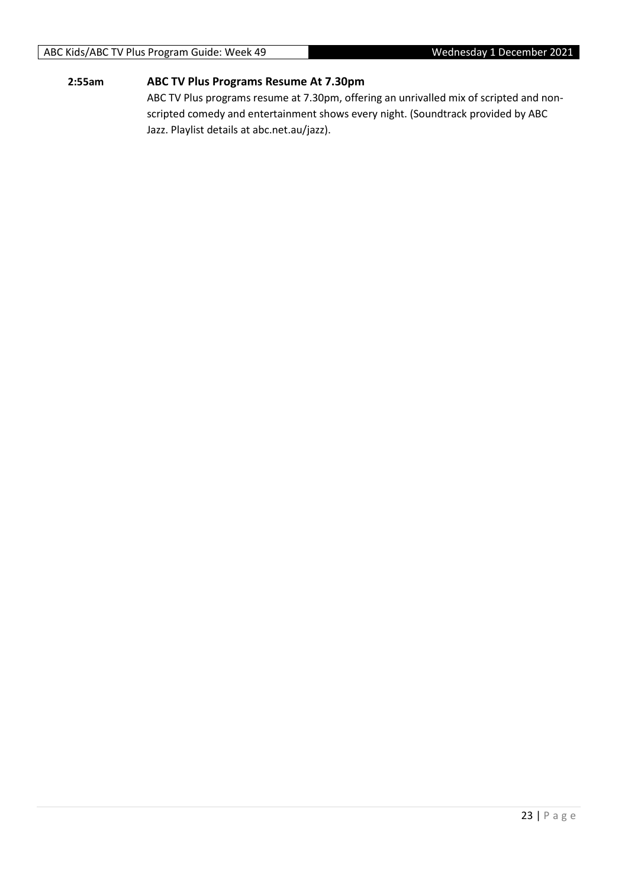#### ABC Kids/ABC TV Plus Program Guide: Week 49 Wednesday 1 December 2021

#### **2:55am ABC TV Plus Programs Resume At 7.30pm**

ABC TV Plus programs resume at 7.30pm, offering an unrivalled mix of scripted and nonscripted comedy and entertainment shows every night. (Soundtrack provided by ABC Jazz. Playlist details at abc.net.au/jazz).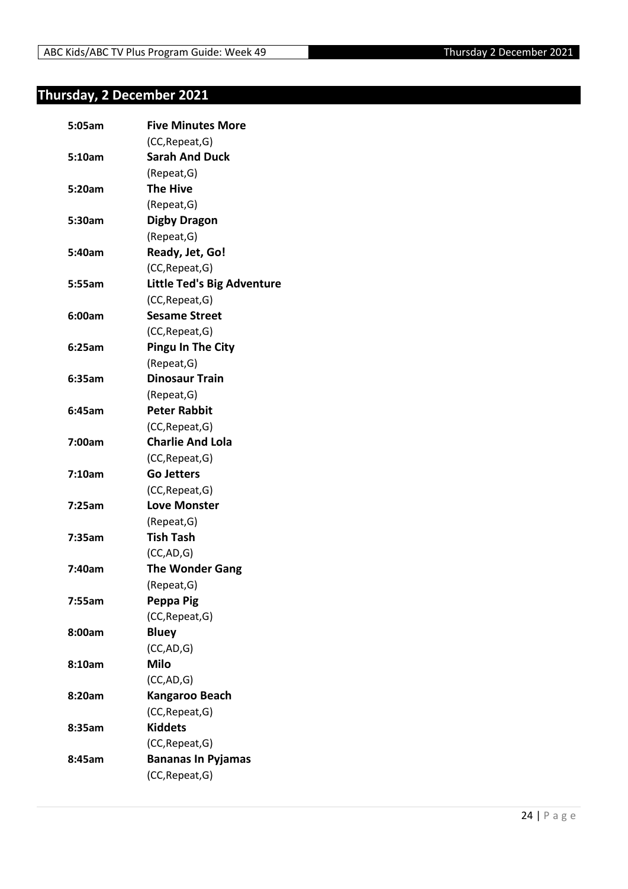#### <span id="page-23-0"></span>**Thursday, 2 December 2021**

| 5:05am | <b>Five Minutes More</b>          |
|--------|-----------------------------------|
|        | (CC, Repeat, G)                   |
| 5:10am | <b>Sarah And Duck</b>             |
|        | (Repeat, G)                       |
| 5:20am | <b>The Hive</b>                   |
|        | (Repeat, G)                       |
| 5:30am | <b>Digby Dragon</b>               |
|        | (Repeat, G)                       |
| 5:40am | Ready, Jet, Go!                   |
|        | (CC, Repeat, G)                   |
| 5:55am | <b>Little Ted's Big Adventure</b> |
|        | (CC, Repeat, G)                   |
| 6:00am | <b>Sesame Street</b>              |
|        | (CC, Repeat, G)                   |
| 6:25am | <b>Pingu In The City</b>          |
|        | (Repeat, G)                       |
| 6:35am | <b>Dinosaur Train</b>             |
|        | (Repeat, G)                       |
| 6:45am | <b>Peter Rabbit</b>               |
|        | (CC, Repeat, G)                   |
| 7:00am | <b>Charlie And Lola</b>           |
|        | (CC, Repeat, G)                   |
| 7:10am | <b>Go Jetters</b>                 |
|        | (CC, Repeat, G)                   |
| 7:25am | <b>Love Monster</b>               |
|        | (Repeat, G)                       |
| 7:35am | <b>Tish Tash</b>                  |
|        | (CC, AD, G)                       |
| 7:40am | <b>The Wonder Gang</b>            |
|        | (Repeat, G)                       |
| 7:55am | Peppa Pig                         |
|        | (CC, Repeat, G)                   |
| 8:00am | <b>Bluey</b>                      |
|        | (CC, AD, G)                       |
| 8:10am | <b>Milo</b>                       |
|        | (CC,AD,G)                         |
| 8:20am | Kangaroo Beach                    |
|        | (CC, Repeat, G)                   |
| 8:35am | <b>Kiddets</b>                    |
|        | (CC, Repeat, G)                   |
| 8:45am | <b>Bananas In Pyjamas</b>         |
|        | (CC, Repeat, G)                   |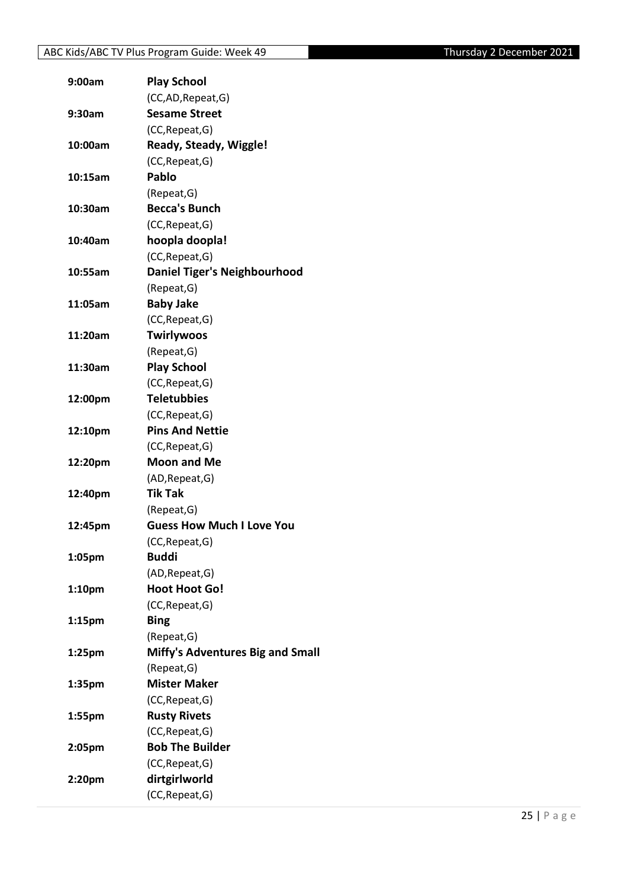| 9:00am             | <b>Play School</b>                  |
|--------------------|-------------------------------------|
|                    | (CC,AD, Repeat, G)                  |
| 9:30am             | <b>Sesame Street</b>                |
|                    | (CC, Repeat, G)                     |
| 10:00am            | Ready, Steady, Wiggle!              |
|                    | (CC, Repeat, G)                     |
| 10:15am            | Pablo                               |
|                    | (Repeat, G)                         |
| 10:30am            | <b>Becca's Bunch</b>                |
|                    | (CC, Repeat, G)                     |
| 10:40am            | hoopla doopla!                      |
|                    | (CC, Repeat, G)                     |
| 10:55am            | <b>Daniel Tiger's Neighbourhood</b> |
|                    | (Repeat, G)                         |
| 11:05am            | <b>Baby Jake</b>                    |
|                    | (CC, Repeat, G)                     |
| 11:20am            | <b>Twirlywoos</b>                   |
|                    | (Repeat, G)                         |
| 11:30am            | <b>Play School</b>                  |
|                    | (CC, Repeat, G)                     |
| 12:00pm            | <b>Teletubbies</b>                  |
|                    | (CC, Repeat, G)                     |
| 12:10pm            | <b>Pins And Nettie</b>              |
|                    | (CC, Repeat, G)                     |
| 12:20pm            | <b>Moon and Me</b>                  |
|                    | (AD, Repeat, G)                     |
| 12:40pm            | <b>Tik Tak</b>                      |
|                    | (Repeat, G)                         |
| 12:45pm            | <b>Guess How Much I Love You</b>    |
|                    | (CC, Repeat, G)                     |
| 1:05pm             | <b>Buddi</b>                        |
|                    | (AD, Repeat, G)                     |
| 1:10 <sub>pm</sub> | <b>Hoot Hoot Go!</b>                |
|                    | (CC, Repeat, G)                     |
| 1:15 <sub>pm</sub> | <b>Bing</b>                         |
|                    | (Repeat, G)                         |
| 1:25 <sub>pm</sub> | Miffy's Adventures Big and Small    |
|                    | (Repeat, G)                         |
|                    | <b>Mister Maker</b>                 |
| 1:35pm             |                                     |
|                    | (CC, Repeat, G)                     |
| 1:55pm             | <b>Rusty Rivets</b>                 |
|                    | (CC, Repeat, G)                     |
| 2:05pm             | <b>Bob The Builder</b>              |
|                    | (CC, Repeat, G)                     |
| 2:20pm             | dirtgirlworld                       |
|                    | (CC, Repeat, G)                     |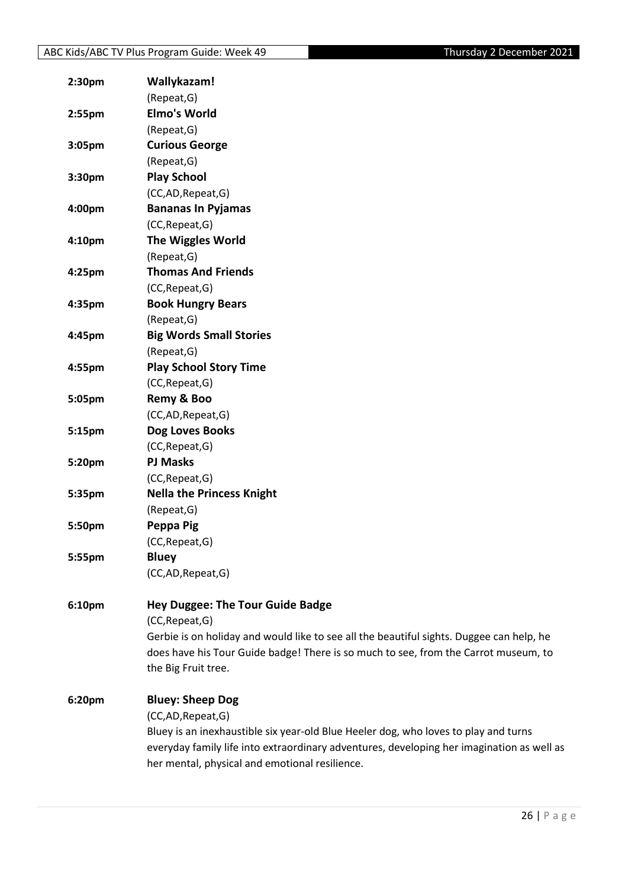| 2:30 <sub>pm</sub> | Wallykazam!                                                                               |
|--------------------|-------------------------------------------------------------------------------------------|
|                    | (Repeat, G)                                                                               |
| 2:55pm             | <b>Elmo's World</b>                                                                       |
|                    | (Repeat, G)                                                                               |
| 3:05pm             | <b>Curious George</b>                                                                     |
|                    | (Repeat, G)                                                                               |
| 3:30pm             | <b>Play School</b>                                                                        |
|                    | (CC,AD,Repeat,G)                                                                          |
| 4:00pm             | <b>Bananas In Pyjamas</b>                                                                 |
|                    | (CC, Repeat, G)                                                                           |
| 4:10pm             | <b>The Wiggles World</b>                                                                  |
|                    | (Repeat, G)                                                                               |
| 4:25pm             | <b>Thomas And Friends</b>                                                                 |
|                    | (CC, Repeat, G)                                                                           |
| 4:35pm             | <b>Book Hungry Bears</b>                                                                  |
|                    | (Repeat, G)                                                                               |
| 4:45pm             | <b>Big Words Small Stories</b>                                                            |
|                    | (Repeat, G)                                                                               |
| 4:55pm             | <b>Play School Story Time</b>                                                             |
|                    | (CC, Repeat, G)                                                                           |
| 5:05pm             | Remy & Boo                                                                                |
|                    | (CC,AD,Repeat,G)                                                                          |
| 5:15pm             | Dog Loves Books                                                                           |
|                    | (CC, Repeat, G)                                                                           |
| 5:20pm             | <b>PJ Masks</b>                                                                           |
|                    | (CC, Repeat, G)                                                                           |
| 5:35pm             | <b>Nella the Princess Knight</b>                                                          |
|                    | (Repeat, G)                                                                               |
| 5:50pm             | Peppa Pig                                                                                 |
|                    | (CC, Repeat, G)                                                                           |
| 5:55pm             | <b>Bluey</b>                                                                              |
|                    | (CC,AD, Repeat, G)                                                                        |
|                    |                                                                                           |
| 6:10pm             | <b>Hey Duggee: The Tour Guide Badge</b>                                                   |
|                    | (CC, Repeat, G)                                                                           |
|                    | Gerbie is on holiday and would like to see all the beautiful sights. Duggee can help, he  |
|                    | does have his Tour Guide badge! There is so much to see, from the Carrot museum, to       |
|                    | the Big Fruit tree.                                                                       |
| 6:20pm             | <b>Bluey: Sheep Dog</b>                                                                   |
|                    | (CC,AD, Repeat, G)                                                                        |
|                    | Bluey is an inexhaustible six year-old Blue Heeler dog, who loves to play and turns       |
|                    | everyday family life into extraordinary adventures, developing her imagination as well as |
|                    | her mental, physical and emotional resilience.                                            |
|                    |                                                                                           |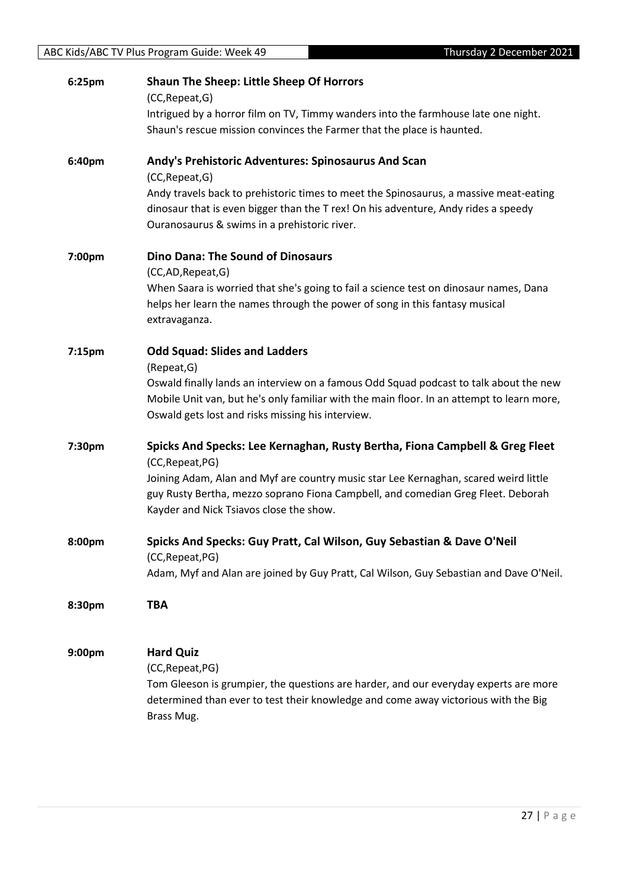| 6:25pm | <b>Shaun The Sheep: Little Sheep Of Horrors</b>                                                  |
|--------|--------------------------------------------------------------------------------------------------|
|        | (CC, Repeat, G)                                                                                  |
|        | Intrigued by a horror film on TV, Timmy wanders into the farmhouse late one night.               |
|        | Shaun's rescue mission convinces the Farmer that the place is haunted.                           |
| 6:40pm | Andy's Prehistoric Adventures: Spinosaurus And Scan                                              |
|        | (CC, Repeat, G)                                                                                  |
|        | Andy travels back to prehistoric times to meet the Spinosaurus, a massive meat-eating            |
|        | dinosaur that is even bigger than the T rex! On his adventure, Andy rides a speedy               |
|        | Ouranosaurus & swims in a prehistoric river.                                                     |
| 7:00pm | <b>Dino Dana: The Sound of Dinosaurs</b>                                                         |
|        | (CC,AD,Repeat,G)                                                                                 |
|        | When Saara is worried that she's going to fail a science test on dinosaur names, Dana            |
|        | helps her learn the names through the power of song in this fantasy musical                      |
|        | extravaganza.                                                                                    |
| 7:15pm | <b>Odd Squad: Slides and Ladders</b>                                                             |
|        | (Repeat, G)                                                                                      |
|        | Oswald finally lands an interview on a famous Odd Squad podcast to talk about the new            |
|        | Mobile Unit van, but he's only familiar with the main floor. In an attempt to learn more,        |
|        | Oswald gets lost and risks missing his interview.                                                |
| 7:30pm | Spicks And Specks: Lee Kernaghan, Rusty Bertha, Fiona Campbell & Greg Fleet                      |
|        | (CC, Repeat, PG)                                                                                 |
|        | Joining Adam, Alan and Myf are country music star Lee Kernaghan, scared weird little             |
|        | guy Rusty Bertha, mezzo soprano Fiona Campbell, and comedian Greg Fleet. Deborah                 |
|        | Kayder and Nick Tsiavos close the show.                                                          |
| 8:00pm | Spicks And Specks: Guy Pratt, Cal Wilson, Guy Sebastian & Dave O'Neil                            |
|        | (CC, Repeat, PG)                                                                                 |
|        | Adam, Myf and Alan are joined by Guy Pratt, Cal Wilson, Guy Sebastian and Dave O'Neil.           |
|        | <b>TBA</b>                                                                                       |
| 8:30pm |                                                                                                  |
|        |                                                                                                  |
| 9:00pm | <b>Hard Quiz</b>                                                                                 |
|        | (CC, Repeat, PG)                                                                                 |
|        | Tom Gleeson is grumpier, the questions are harder, and our everyday experts are more             |
|        | determined than ever to test their knowledge and come away victorious with the Big<br>Brass Mug. |
|        |                                                                                                  |
|        |                                                                                                  |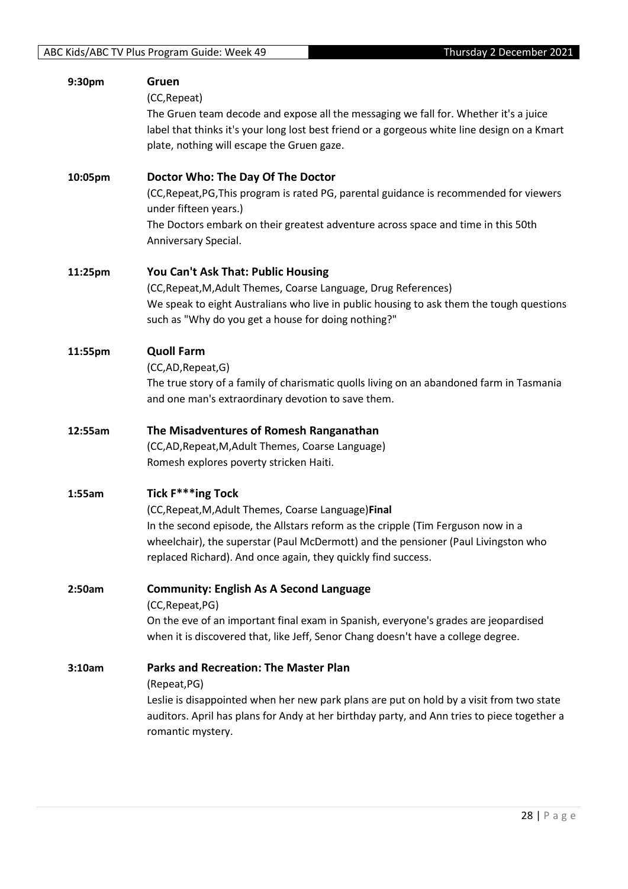| 9:30pm  | Gruen<br>(CC, Repeat)<br>The Gruen team decode and expose all the messaging we fall for. Whether it's a juice                                                                                                                           |
|---------|-----------------------------------------------------------------------------------------------------------------------------------------------------------------------------------------------------------------------------------------|
|         | label that thinks it's your long lost best friend or a gorgeous white line design on a Kmart<br>plate, nothing will escape the Gruen gaze.                                                                                              |
| 10:05pm | Doctor Who: The Day Of The Doctor                                                                                                                                                                                                       |
|         | (CC, Repeat, PG, This program is rated PG, parental guidance is recommended for viewers<br>under fifteen years.)                                                                                                                        |
|         | The Doctors embark on their greatest adventure across space and time in this 50th<br>Anniversary Special.                                                                                                                               |
| 11:25pm | You Can't Ask That: Public Housing                                                                                                                                                                                                      |
|         | (CC, Repeat, M, Adult Themes, Coarse Language, Drug References)<br>We speak to eight Australians who live in public housing to ask them the tough questions<br>such as "Why do you get a house for doing nothing?"                      |
| 11:55pm | <b>Quoll Farm</b>                                                                                                                                                                                                                       |
|         | (CC,AD,Repeat,G)<br>The true story of a family of charismatic quolls living on an abandoned farm in Tasmania                                                                                                                            |
|         | and one man's extraordinary devotion to save them.                                                                                                                                                                                      |
| 12:55am | The Misadventures of Romesh Ranganathan                                                                                                                                                                                                 |
|         | (CC,AD, Repeat, M, Adult Themes, Coarse Language)<br>Romesh explores poverty stricken Haiti.                                                                                                                                            |
| 1:55am  | Tick F***ing Tock                                                                                                                                                                                                                       |
|         | (CC, Repeat, M, Adult Themes, Coarse Language) Final                                                                                                                                                                                    |
|         | In the second episode, the Allstars reform as the cripple (Tim Ferguson now in a<br>wheelchair), the superstar (Paul McDermott) and the pensioner (Paul Livingston who<br>replaced Richard). And once again, they quickly find success. |
| 2:50am  | <b>Community: English As A Second Language</b>                                                                                                                                                                                          |
|         | (CC, Repeat, PG)                                                                                                                                                                                                                        |
|         | On the eve of an important final exam in Spanish, everyone's grades are jeopardised<br>when it is discovered that, like Jeff, Senor Chang doesn't have a college degree.                                                                |
| 3:10am  | <b>Parks and Recreation: The Master Plan</b><br>(Repeat, PG)                                                                                                                                                                            |
|         | Leslie is disappointed when her new park plans are put on hold by a visit from two state<br>auditors. April has plans for Andy at her birthday party, and Ann tries to piece together a<br>romantic mystery.                            |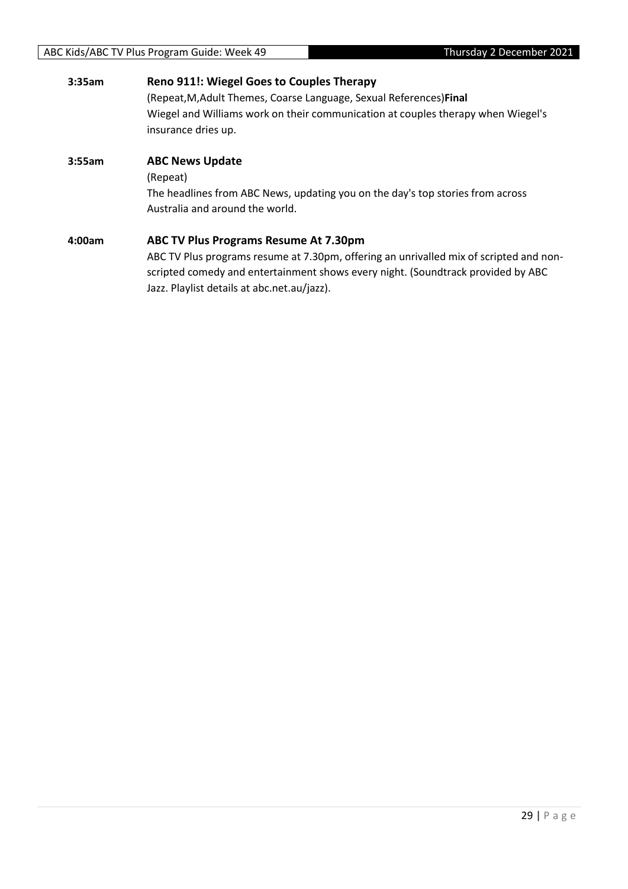| 3:35am | <b>Reno 911!: Wiegel Goes to Couples Therapy</b><br>(Repeat, M, Adult Themes, Coarse Language, Sexual References) Final<br>Wiegel and Williams work on their communication at couples therapy when Wiegel's<br>insurance dries up.                                        |
|--------|---------------------------------------------------------------------------------------------------------------------------------------------------------------------------------------------------------------------------------------------------------------------------|
| 3:55am | <b>ABC News Update</b><br>(Repeat)<br>The headlines from ABC News, updating you on the day's top stories from across<br>Australia and around the world.                                                                                                                   |
| 4:00am | <b>ABC TV Plus Programs Resume At 7.30pm</b><br>ABC TV Plus programs resume at 7.30pm, offering an unrivalled mix of scripted and non-<br>scripted comedy and entertainment shows every night. (Soundtrack provided by ABC<br>Jazz. Playlist details at abc.net.au/jazz). |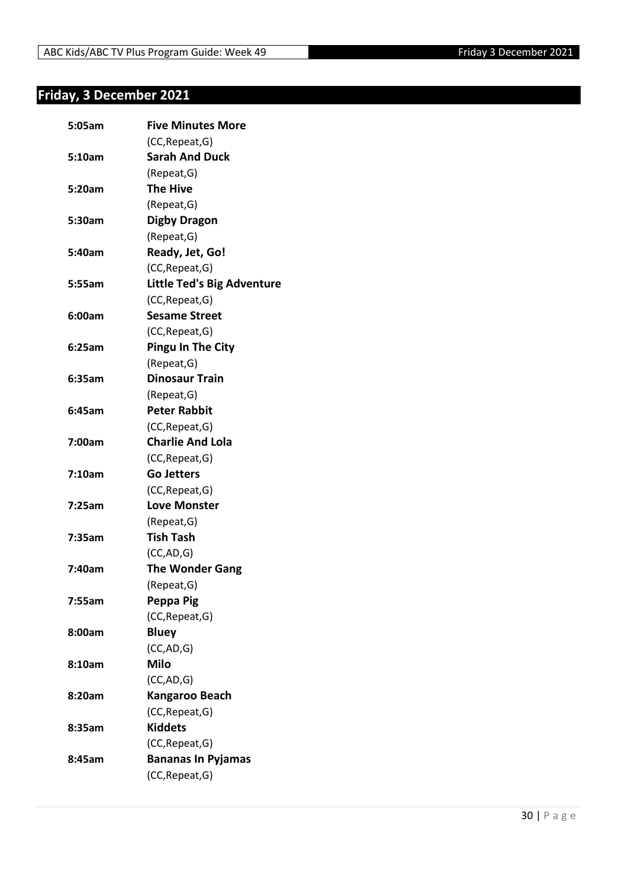#### <span id="page-29-0"></span>**Friday, 3 December 2021**

| 5:05am | <b>Five Minutes More</b>          |
|--------|-----------------------------------|
|        | (CC, Repeat, G)                   |
| 5:10am | <b>Sarah And Duck</b>             |
|        | (Repeat, G)                       |
| 5:20am | <b>The Hive</b>                   |
|        | (Repeat, G)                       |
| 5:30am | <b>Digby Dragon</b>               |
|        | (Repeat, G)                       |
| 5:40am | Ready, Jet, Go!                   |
|        | (CC, Repeat, G)                   |
| 5:55am | <b>Little Ted's Big Adventure</b> |
|        | (CC, Repeat, G)                   |
| 6:00am | <b>Sesame Street</b>              |
|        | (CC, Repeat, G)                   |
| 6:25am | <b>Pingu In The City</b>          |
|        | (Repeat, G)                       |
| 6:35am | <b>Dinosaur Train</b>             |
|        | (Repeat, G)                       |
| 6:45am | <b>Peter Rabbit</b>               |
|        | (CC, Repeat, G)                   |
| 7:00am | <b>Charlie And Lola</b>           |
|        | (CC, Repeat, G)                   |
| 7:10am | <b>Go Jetters</b>                 |
|        | (CC, Repeat, G)                   |
| 7:25am | <b>Love Monster</b>               |
|        | (Repeat, G)                       |
| 7:35am | <b>Tish Tash</b>                  |
|        | (CC, AD, G)                       |
| 7:40am | <b>The Wonder Gang</b>            |
|        | (Repeat, G)                       |
| 7:55am | Peppa Pig                         |
|        | (CC, Repeat, G)                   |
| 8:00am | <b>Bluey</b>                      |
|        | (CC, AD, G)                       |
| 8:10am | <b>Milo</b>                       |
|        | (CC,AD,G)                         |
| 8:20am | Kangaroo Beach                    |
|        | (CC, Repeat, G)                   |
| 8:35am | <b>Kiddets</b>                    |
|        | (CC, Repeat, G)                   |
| 8:45am | <b>Bananas In Pyjamas</b>         |
|        | (CC, Repeat, G)                   |
|        |                                   |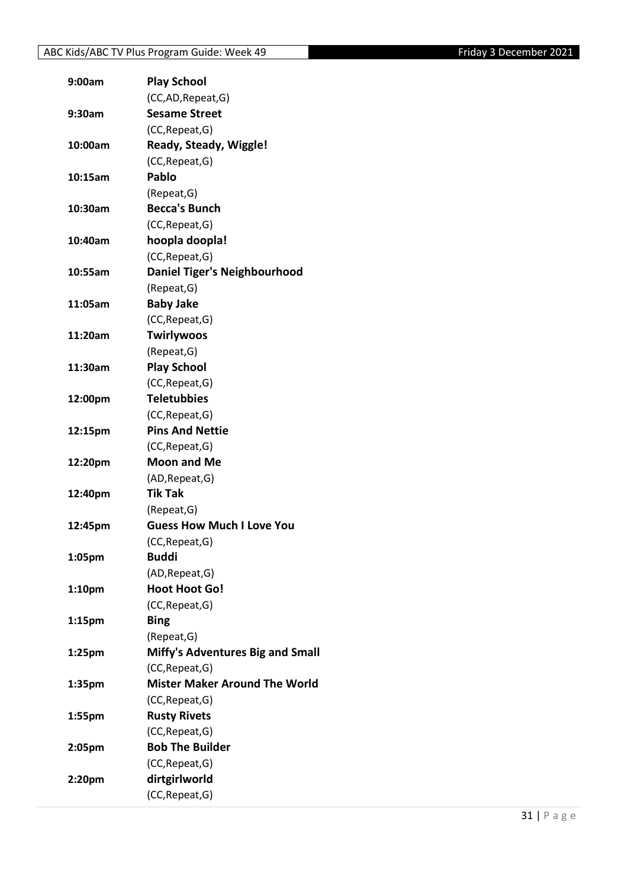| 9:00am             | <b>Play School</b>                   |
|--------------------|--------------------------------------|
|                    | (CC,AD, Repeat, G)                   |
| 9:30am             | <b>Sesame Street</b>                 |
|                    | (CC, Repeat, G)                      |
| 10:00am            | Ready, Steady, Wiggle!               |
|                    | (CC, Repeat, G)                      |
| 10:15am            | Pablo                                |
|                    | (Repeat, G)                          |
| 10:30am            | <b>Becca's Bunch</b>                 |
|                    | (CC, Repeat, G)                      |
| 10:40am            | hoopla doopla!                       |
|                    | (CC, Repeat, G)                      |
| 10:55am            | <b>Daniel Tiger's Neighbourhood</b>  |
|                    | (Repeat, G)                          |
| 11:05am            | <b>Baby Jake</b>                     |
|                    | (CC, Repeat, G)                      |
| 11:20am            | <b>Twirlywoos</b>                    |
|                    | (Repeat, G)                          |
| 11:30am            | <b>Play School</b>                   |
|                    | (CC, Repeat, G)                      |
| 12:00pm            | <b>Teletubbies</b>                   |
|                    | (CC, Repeat, G)                      |
| 12:15pm            | <b>Pins And Nettie</b>               |
|                    | (CC, Repeat, G)                      |
| 12:20pm            | <b>Moon and Me</b>                   |
|                    | (AD, Repeat, G)                      |
| 12:40pm            | <b>Tik Tak</b>                       |
|                    | (Repeat, G)                          |
| 12:45pm            | <b>Guess How Much I Love You</b>     |
|                    | (CC, Repeat, G)                      |
| 1:05pm             | <b>Buddi</b>                         |
|                    | (AD, Repeat, G)                      |
| 1:10pm             | <b>Hoot Hoot Go!</b>                 |
|                    | (CC, Repeat, G)                      |
| 1:15 <sub>pm</sub> | <b>Bing</b>                          |
|                    | (Repeat, G)                          |
| 1:25pm             | Miffy's Adventures Big and Small     |
|                    | (CC, Repeat, G)                      |
| 1:35pm             | <b>Mister Maker Around The World</b> |
|                    | (CC, Repeat, G)                      |
| 1:55pm             | <b>Rusty Rivets</b>                  |
|                    | (CC, Repeat, G)                      |
| 2:05pm             | <b>Bob The Builder</b>               |
|                    | (CC, Repeat, G)                      |
| 2:20pm             | dirtgirlworld                        |
|                    | (CC, Repeat, G)                      |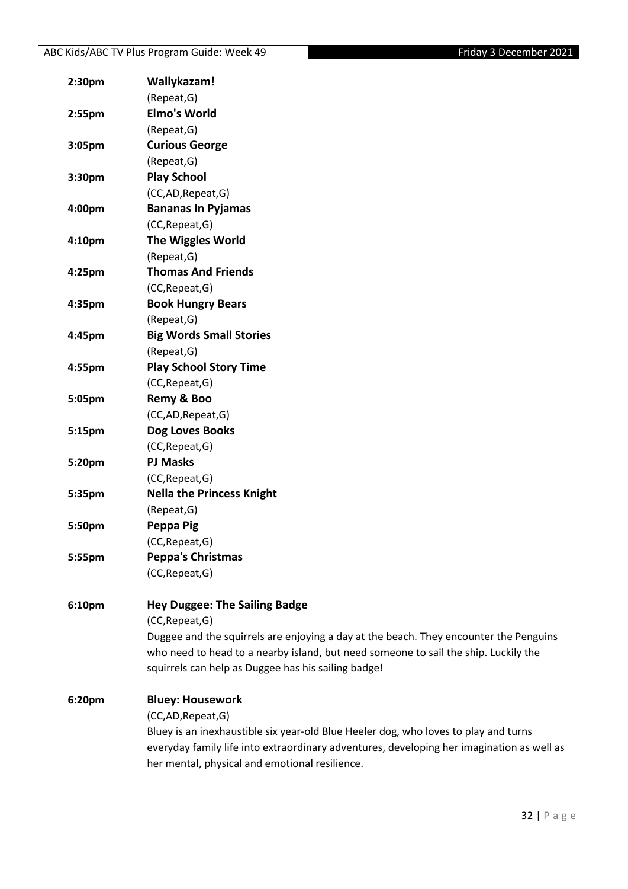| 2:30 <sub>pm</sub> | Wallykazam!                                                                               |
|--------------------|-------------------------------------------------------------------------------------------|
|                    | (Repeat, G)                                                                               |
| $2:55$ pm          | <b>Elmo's World</b>                                                                       |
|                    | (Repeat, G)                                                                               |
| 3:05pm             | <b>Curious George</b>                                                                     |
|                    | (Repeat, G)                                                                               |
| 3:30pm             | <b>Play School</b>                                                                        |
|                    | (CC,AD,Repeat,G)                                                                          |
| 4:00pm             | <b>Bananas In Pyjamas</b>                                                                 |
|                    | (CC, Repeat, G)                                                                           |
| 4:10pm             | <b>The Wiggles World</b>                                                                  |
|                    | (Repeat, G)                                                                               |
| 4:25pm             | <b>Thomas And Friends</b>                                                                 |
|                    | (CC, Repeat, G)                                                                           |
| 4:35pm             | <b>Book Hungry Bears</b>                                                                  |
|                    | (Repeat, G)                                                                               |
| 4:45pm             | <b>Big Words Small Stories</b>                                                            |
|                    | (Repeat, G)                                                                               |
| 4:55pm             | <b>Play School Story Time</b>                                                             |
|                    | (CC, Repeat, G)                                                                           |
| 5:05pm             | Remy & Boo                                                                                |
|                    | (CC,AD,Repeat,G)                                                                          |
| 5:15pm             | Dog Loves Books                                                                           |
|                    | (CC, Repeat, G)                                                                           |
| 5:20pm             | <b>PJ Masks</b>                                                                           |
|                    | (CC, Repeat, G)                                                                           |
| 5:35pm             | <b>Nella the Princess Knight</b>                                                          |
|                    | (Repeat, G)                                                                               |
| 5:50pm             | Peppa Pig                                                                                 |
|                    | (CC, Repeat, G)                                                                           |
| 5:55pm             | <b>Peppa's Christmas</b>                                                                  |
|                    | (CC, Repeat, G)                                                                           |
|                    |                                                                                           |
| 6:10pm             | <b>Hey Duggee: The Sailing Badge</b>                                                      |
|                    | (CC, Repeat, G)                                                                           |
|                    | Duggee and the squirrels are enjoying a day at the beach. They encounter the Penguins     |
|                    | who need to head to a nearby island, but need someone to sail the ship. Luckily the       |
|                    | squirrels can help as Duggee has his sailing badge!                                       |
| 6:20pm             | <b>Bluey: Housework</b>                                                                   |
|                    | (CC,AD,Repeat,G)                                                                          |
|                    | Bluey is an inexhaustible six year-old Blue Heeler dog, who loves to play and turns       |
|                    | everyday family life into extraordinary adventures, developing her imagination as well as |
|                    | her mental, physical and emotional resilience.                                            |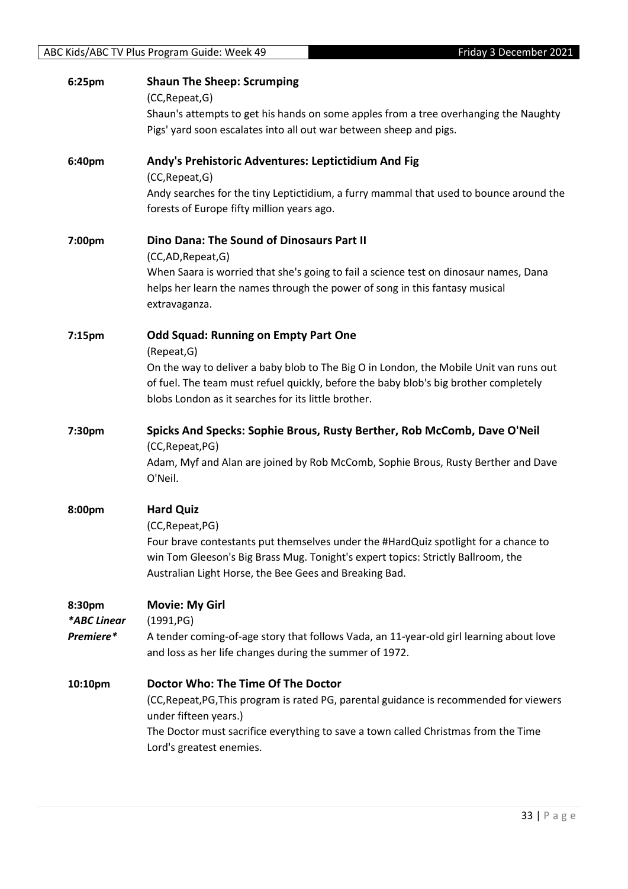| 6:25pm      | <b>Shaun The Sheep: Scrumping</b><br>(CC, Repeat, G)<br>Shaun's attempts to get his hands on some apples from a tree overhanging the Naughty                                                                                      |
|-------------|-----------------------------------------------------------------------------------------------------------------------------------------------------------------------------------------------------------------------------------|
|             | Pigs' yard soon escalates into all out war between sheep and pigs.                                                                                                                                                                |
| 6:40pm      | Andy's Prehistoric Adventures: Leptictidium And Fig<br>(CC, Repeat, G)                                                                                                                                                            |
|             | Andy searches for the tiny Leptictidium, a furry mammal that used to bounce around the<br>forests of Europe fifty million years ago.                                                                                              |
| 7:00pm      | Dino Dana: The Sound of Dinosaurs Part II<br>(CC,AD, Repeat, G)                                                                                                                                                                   |
|             | When Saara is worried that she's going to fail a science test on dinosaur names, Dana<br>helps her learn the names through the power of song in this fantasy musical<br>extravaganza.                                             |
| 7:15pm      | <b>Odd Squad: Running on Empty Part One</b><br>(Repeat, G)                                                                                                                                                                        |
|             | On the way to deliver a baby blob to The Big O in London, the Mobile Unit van runs out                                                                                                                                            |
|             | of fuel. The team must refuel quickly, before the baby blob's big brother completely                                                                                                                                              |
|             | blobs London as it searches for its little brother.                                                                                                                                                                               |
| 7:30pm      | Spicks And Specks: Sophie Brous, Rusty Berther, Rob McComb, Dave O'Neil                                                                                                                                                           |
|             | (CC, Repeat, PG)<br>Adam, Myf and Alan are joined by Rob McComb, Sophie Brous, Rusty Berther and Dave<br>O'Neil.                                                                                                                  |
| 8:00pm      | <b>Hard Quiz</b>                                                                                                                                                                                                                  |
|             | (CC, Repeat, PG)                                                                                                                                                                                                                  |
|             | Four brave contestants put themselves under the #HardQuiz spotlight for a chance to<br>win Tom Gleeson's Big Brass Mug. Tonight's expert topics: Strictly Ballroom, the<br>Australian Light Horse, the Bee Gees and Breaking Bad. |
| 8:30pm      | <b>Movie: My Girl</b>                                                                                                                                                                                                             |
| *ABC Linear | (1991, PG)                                                                                                                                                                                                                        |
| Premiere*   | A tender coming-of-age story that follows Vada, an 11-year-old girl learning about love<br>and loss as her life changes during the summer of 1972.                                                                                |
| 10:10pm     | Doctor Who: The Time Of The Doctor                                                                                                                                                                                                |
|             | (CC, Repeat, PG, This program is rated PG, parental guidance is recommended for viewers<br>under fifteen years.)                                                                                                                  |
|             | The Doctor must sacrifice everything to save a town called Christmas from the Time<br>Lord's greatest enemies.                                                                                                                    |

ABC Kids/ABC TV Plus Program Guide: Week 49 Friday 3 December 2021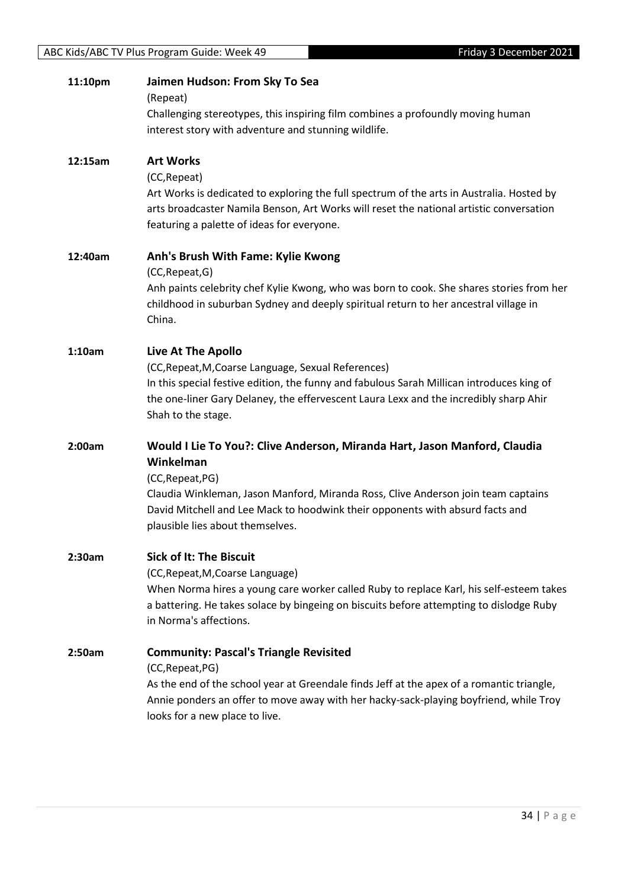| 11:10pm | Jaimen Hudson: From Sky To Sea<br>(Repeat)                                                                                                                                                                                                                                                                           |
|---------|----------------------------------------------------------------------------------------------------------------------------------------------------------------------------------------------------------------------------------------------------------------------------------------------------------------------|
|         | Challenging stereotypes, this inspiring film combines a profoundly moving human<br>interest story with adventure and stunning wildlife.                                                                                                                                                                              |
| 12:15am | <b>Art Works</b><br>(CC, Repeat)<br>Art Works is dedicated to exploring the full spectrum of the arts in Australia. Hosted by<br>arts broadcaster Namila Benson, Art Works will reset the national artistic conversation<br>featuring a palette of ideas for everyone.                                               |
| 12:40am | Anh's Brush With Fame: Kylie Kwong<br>(CC, Repeat, G)<br>Anh paints celebrity chef Kylie Kwong, who was born to cook. She shares stories from her<br>childhood in suburban Sydney and deeply spiritual return to her ancestral village in<br>China.                                                                  |
| 1:10am  | Live At The Apollo<br>(CC, Repeat, M, Coarse Language, Sexual References)<br>In this special festive edition, the funny and fabulous Sarah Millican introduces king of<br>the one-liner Gary Delaney, the effervescent Laura Lexx and the incredibly sharp Ahir<br>Shah to the stage.                                |
| 2:00am  | Would I Lie To You?: Clive Anderson, Miranda Hart, Jason Manford, Claudia<br>Winkelman<br>(CC, Repeat, PG)<br>Claudia Winkleman, Jason Manford, Miranda Ross, Clive Anderson join team captains<br>David Mitchell and Lee Mack to hoodwink their opponents with absurd facts and<br>plausible lies about themselves. |
| 2:30am  | <b>Sick of It: The Biscuit</b><br>(CC, Repeat, M, Coarse Language)<br>When Norma hires a young care worker called Ruby to replace Karl, his self-esteem takes<br>a battering. He takes solace by bingeing on biscuits before attempting to dislodge Ruby<br>in Norma's affections.                                   |
| 2:50am  | <b>Community: Pascal's Triangle Revisited</b><br>(CC, Repeat, PG)<br>As the end of the school year at Greendale finds Jeff at the apex of a romantic triangle,<br>Annie ponders an offer to move away with her hacky-sack-playing boyfriend, while Troy<br>looks for a new place to live.                            |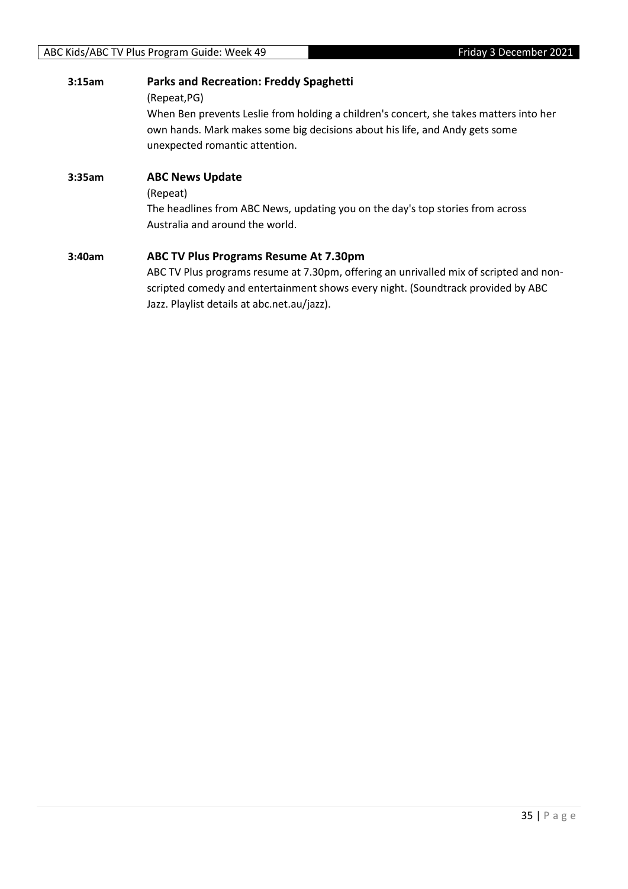| 3:15am | <b>Parks and Recreation: Freddy Spaghetti</b><br>(Repeat, PG)<br>When Ben prevents Leslie from holding a children's concert, she takes matters into her<br>own hands. Mark makes some big decisions about his life, and Andy gets some<br>unexpected romantic attention. |
|--------|--------------------------------------------------------------------------------------------------------------------------------------------------------------------------------------------------------------------------------------------------------------------------|
| 3:35am | <b>ABC News Update</b><br>(Repeat)<br>The headlines from ABC News, updating you on the day's top stories from across<br>Australia and around the world.                                                                                                                  |
| 3:40am | ABC TV Plus Programs Resume At 7.30pm<br>ABC TV Plus programs resume at 7.30pm, offering an unrivalled mix of scripted and non-<br>scripted comedy and entertainment shows every night. (Soundtrack provided by ABC                                                      |

Jazz. Playlist details at abc.net.au/jazz).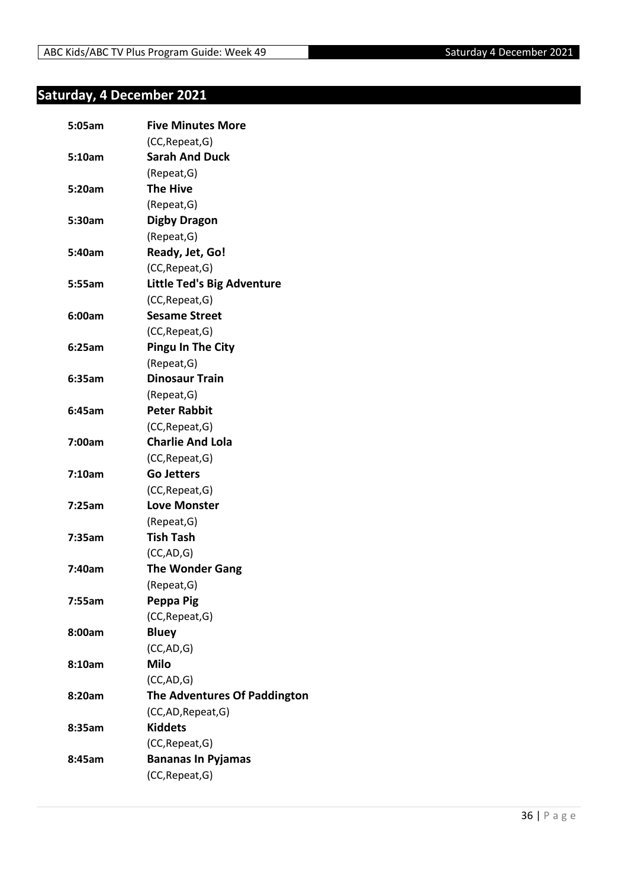#### <span id="page-35-0"></span>**Saturday, 4 December 2021**

| 5:05am | <b>Five Minutes More</b>            |
|--------|-------------------------------------|
|        | (CC, Repeat, G)                     |
| 5:10am | <b>Sarah And Duck</b>               |
|        | (Repeat, G)                         |
| 5:20am | <b>The Hive</b>                     |
|        | (Repeat, G)                         |
| 5:30am | <b>Digby Dragon</b>                 |
|        | (Repeat, G)                         |
| 5:40am | Ready, Jet, Go!                     |
|        | (CC, Repeat, G)                     |
| 5:55am | <b>Little Ted's Big Adventure</b>   |
|        | (CC, Repeat, G)                     |
| 6:00am | <b>Sesame Street</b>                |
|        | (CC, Repeat, G)                     |
| 6:25am | <b>Pingu In The City</b>            |
|        | (Repeat, G)                         |
| 6:35am | <b>Dinosaur Train</b>               |
|        | (Repeat, G)                         |
| 6:45am | <b>Peter Rabbit</b>                 |
|        | (CC, Repeat, G)                     |
| 7:00am | <b>Charlie And Lola</b>             |
|        | (CC, Repeat, G)                     |
| 7:10am | <b>Go Jetters</b>                   |
|        | (CC, Repeat, G)                     |
| 7:25am | <b>Love Monster</b>                 |
|        | (Repeat, G)                         |
| 7:35am | <b>Tish Tash</b>                    |
|        | (CC, AD, G)                         |
| 7:40am | <b>The Wonder Gang</b>              |
|        | (Repeat, G)                         |
| 7:55am | Peppa Pig                           |
|        | (CC, Repeat, G)                     |
| 8:00am | <b>Bluey</b>                        |
|        | (CC,AD,G)                           |
| 8:10am | <b>Milo</b>                         |
|        | (CC,AD,G)                           |
| 8:20am | <b>The Adventures Of Paddington</b> |
|        | (CC,AD,Repeat,G)                    |
| 8:35am | <b>Kiddets</b>                      |
|        | (CC, Repeat, G)                     |
| 8:45am | <b>Bananas In Pyjamas</b>           |
|        | (CC, Repeat, G)                     |
|        |                                     |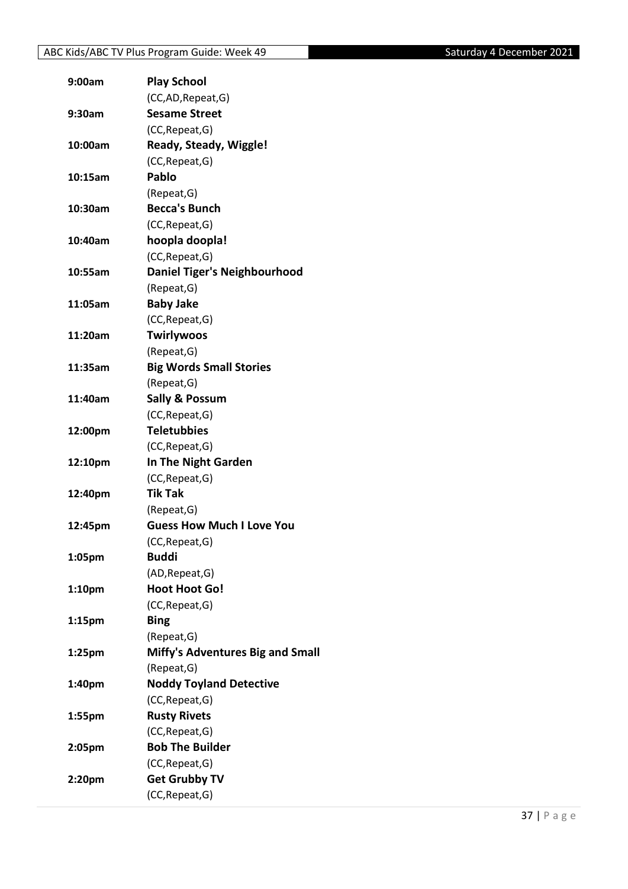| 9:00am             | <b>Play School</b>                      |
|--------------------|-----------------------------------------|
|                    | (CC,AD, Repeat, G)                      |
| 9:30am             | <b>Sesame Street</b>                    |
|                    | (CC, Repeat, G)                         |
| 10:00am            | <b>Ready, Steady, Wiggle!</b>           |
|                    | (CC, Repeat, G)                         |
| 10:15am            | Pablo                                   |
|                    | (Repeat, G)                             |
| 10:30am            | <b>Becca's Bunch</b>                    |
|                    | (CC, Repeat, G)                         |
| 10:40am            | hoopla doopla!                          |
|                    | (CC, Repeat, G)                         |
| 10:55am            | <b>Daniel Tiger's Neighbourhood</b>     |
|                    | (Repeat, G)                             |
| 11:05am            | <b>Baby Jake</b>                        |
|                    | (CC, Repeat, G)                         |
| 11:20am            | <b>Twirlywoos</b>                       |
|                    | (Repeat, G)                             |
| 11:35am            | <b>Big Words Small Stories</b>          |
|                    | (Repeat, G)                             |
| 11:40am            | <b>Sally &amp; Possum</b>               |
|                    | (CC, Repeat, G)                         |
| 12:00pm            | <b>Teletubbies</b>                      |
|                    | (CC, Repeat, G)                         |
| 12:10pm            | In The Night Garden                     |
|                    | (CC, Repeat, G)                         |
| 12:40pm            | <b>Tik Tak</b>                          |
|                    | (Repeat, G)                             |
| 12:45pm            | <b>Guess How Much I Love You</b>        |
|                    | (CC, Repeat, G)                         |
| 1:05pm             | <b>Buddi</b>                            |
|                    | (AD, Repeat, G)                         |
| 1:10 <sub>pm</sub> | <b>Hoot Hoot Go!</b>                    |
|                    | (CC, Repeat, G)                         |
| 1:15 <sub>pm</sub> | <b>Bing</b>                             |
|                    | (Repeat, G)                             |
| 1:25 <sub>pm</sub> | <b>Miffy's Adventures Big and Small</b> |
|                    | (Repeat, G)                             |
| 1:40pm             | <b>Noddy Toyland Detective</b>          |
|                    | (CC, Repeat, G)                         |
| 1:55pm             | <b>Rusty Rivets</b>                     |
|                    | (CC, Repeat, G)                         |
| 2:05pm             | <b>Bob The Builder</b>                  |
|                    | (CC, Repeat, G)                         |
| 2:20pm             | <b>Get Grubby TV</b>                    |
|                    | (CC, Repeat, G)                         |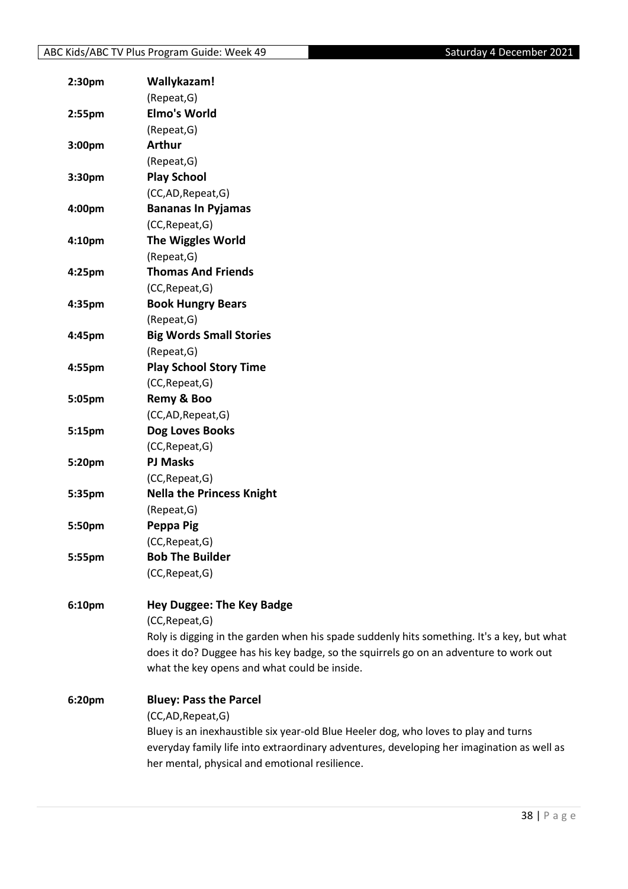| 2:30 <sub>pm</sub> | Wallykazam!                                                                                |
|--------------------|--------------------------------------------------------------------------------------------|
|                    | (Repeat, G)                                                                                |
| 2:55pm             | <b>Elmo's World</b>                                                                        |
|                    | (Repeat, G)                                                                                |
| 3:00pm             | <b>Arthur</b>                                                                              |
|                    | (Repeat, G)                                                                                |
| 3:30pm             | <b>Play School</b>                                                                         |
|                    | (CC,AD,Repeat,G)                                                                           |
| 4:00pm             | <b>Bananas In Pyjamas</b>                                                                  |
|                    | (CC, Repeat, G)                                                                            |
| 4:10pm             | <b>The Wiggles World</b>                                                                   |
|                    | (Repeat, G)                                                                                |
| 4:25pm             | <b>Thomas And Friends</b>                                                                  |
|                    | (CC, Repeat, G)                                                                            |
| 4:35pm             | <b>Book Hungry Bears</b>                                                                   |
|                    | (Repeat, G)                                                                                |
| 4:45pm             | <b>Big Words Small Stories</b>                                                             |
|                    | (Repeat, G)                                                                                |
| 4:55pm             | <b>Play School Story Time</b>                                                              |
|                    | (CC, Repeat, G)                                                                            |
| 5:05pm             | Remy & Boo                                                                                 |
|                    | (CC,AD,Repeat,G)                                                                           |
| 5:15pm             | Dog Loves Books                                                                            |
|                    | (CC, Repeat, G)                                                                            |
| 5:20pm             | <b>PJ Masks</b>                                                                            |
|                    | (CC, Repeat, G)                                                                            |
| 5:35pm             | <b>Nella the Princess Knight</b>                                                           |
|                    | (Repeat, G)                                                                                |
| 5:50pm             | Peppa Pig                                                                                  |
|                    | (CC, Repeat, G)                                                                            |
| 5:55pm             | <b>Bob The Builder</b>                                                                     |
|                    | (CC, Repeat, G)                                                                            |
|                    |                                                                                            |
| 6:10pm             | <b>Hey Duggee: The Key Badge</b><br>(CC, Repeat, G)                                        |
|                    |                                                                                            |
|                    | Roly is digging in the garden when his spade suddenly hits something. It's a key, but what |
|                    | does it do? Duggee has his key badge, so the squirrels go on an adventure to work out      |
|                    | what the key opens and what could be inside.                                               |
| 6:20pm             | <b>Bluey: Pass the Parcel</b>                                                              |
|                    | (CC,AD,Repeat,G)                                                                           |
|                    | Bluey is an inexhaustible six year-old Blue Heeler dog, who loves to play and turns        |
|                    | everyday family life into extraordinary adventures, developing her imagination as well as  |
|                    | her mental, physical and emotional resilience.                                             |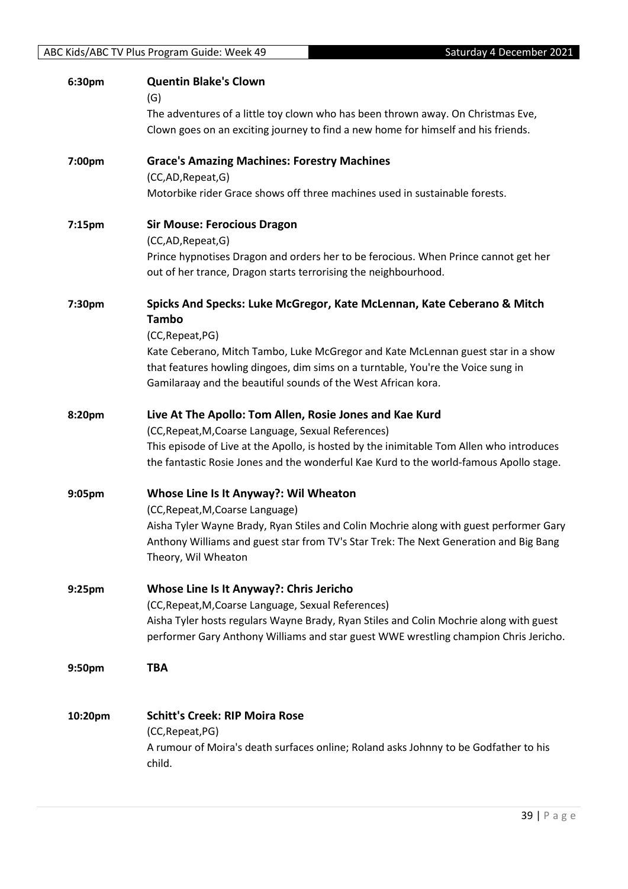| ABC Kids/ABC TV Plus Program Guide: Week 49<br>Saturday 4 December 2021 |                                                                                                      |  |
|-------------------------------------------------------------------------|------------------------------------------------------------------------------------------------------|--|
| 6:30pm                                                                  | <b>Quentin Blake's Clown</b>                                                                         |  |
|                                                                         | (G)                                                                                                  |  |
|                                                                         | The adventures of a little toy clown who has been thrown away. On Christmas Eve,                     |  |
|                                                                         | Clown goes on an exciting journey to find a new home for himself and his friends.                    |  |
| 7:00pm                                                                  | <b>Grace's Amazing Machines: Forestry Machines</b>                                                   |  |
|                                                                         | (CC,AD,Repeat,G)                                                                                     |  |
|                                                                         | Motorbike rider Grace shows off three machines used in sustainable forests.                          |  |
| 7:15pm                                                                  | <b>Sir Mouse: Ferocious Dragon</b>                                                                   |  |
|                                                                         | (CC,AD,Repeat,G)                                                                                     |  |
|                                                                         | Prince hypnotises Dragon and orders her to be ferocious. When Prince cannot get her                  |  |
|                                                                         | out of her trance, Dragon starts terrorising the neighbourhood.                                      |  |
| 7:30pm                                                                  | Spicks And Specks: Luke McGregor, Kate McLennan, Kate Ceberano & Mitch<br><b>Tambo</b>               |  |
|                                                                         |                                                                                                      |  |
|                                                                         | (CC, Repeat, PG)<br>Kate Ceberano, Mitch Tambo, Luke McGregor and Kate McLennan guest star in a show |  |
|                                                                         | that features howling dingoes, dim sims on a turntable, You're the Voice sung in                     |  |
|                                                                         | Gamilaraay and the beautiful sounds of the West African kora.                                        |  |
| 8:20pm                                                                  | Live At The Apollo: Tom Allen, Rosie Jones and Kae Kurd                                              |  |
|                                                                         | (CC, Repeat, M, Coarse Language, Sexual References)                                                  |  |
|                                                                         | This episode of Live at the Apollo, is hosted by the inimitable Tom Allen who introduces             |  |
|                                                                         | the fantastic Rosie Jones and the wonderful Kae Kurd to the world-famous Apollo stage.               |  |
| 9:05pm                                                                  | Whose Line Is It Anyway?: Wil Wheaton                                                                |  |
|                                                                         | (CC, Repeat, M, Coarse Language)                                                                     |  |
|                                                                         | Aisha Tyler Wayne Brady, Ryan Stiles and Colin Mochrie along with guest performer Gary               |  |
|                                                                         | Anthony Williams and guest star from TV's Star Trek: The Next Generation and Big Bang                |  |
|                                                                         | Theory, Wil Wheaton                                                                                  |  |
| 9:25pm                                                                  | Whose Line Is It Anyway?: Chris Jericho                                                              |  |
|                                                                         | (CC, Repeat, M, Coarse Language, Sexual References)                                                  |  |
|                                                                         | Aisha Tyler hosts regulars Wayne Brady, Ryan Stiles and Colin Mochrie along with guest               |  |
|                                                                         | performer Gary Anthony Williams and star guest WWE wrestling champion Chris Jericho.                 |  |
| 9:50pm                                                                  | <b>TBA</b>                                                                                           |  |
| 10:20pm                                                                 | <b>Schitt's Creek: RIP Moira Rose</b>                                                                |  |
|                                                                         | (CC, Repeat, PG)                                                                                     |  |
|                                                                         | A rumour of Moira's death surfaces online; Roland asks Johnny to be Godfather to his                 |  |
|                                                                         | child.                                                                                               |  |
|                                                                         |                                                                                                      |  |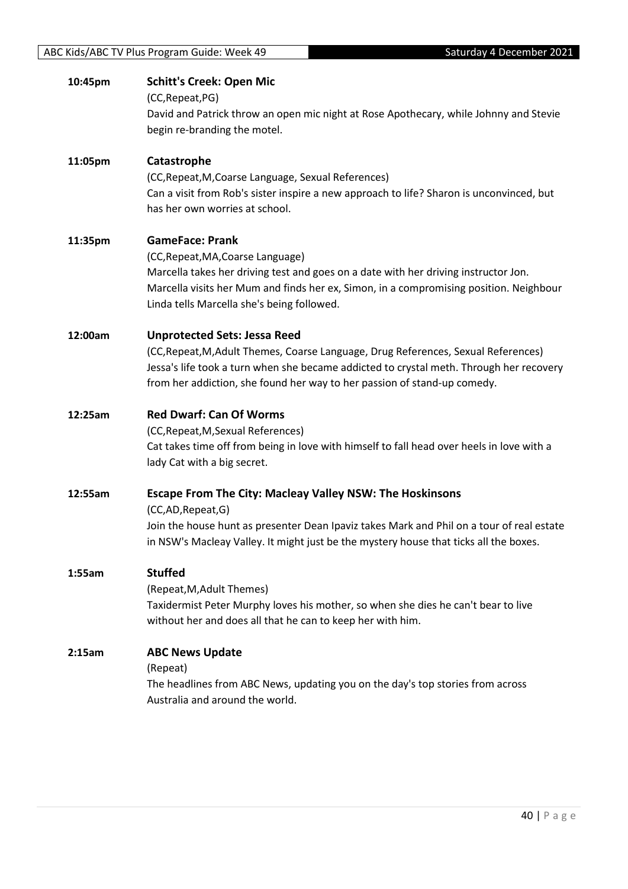| 10:45pm | <b>Schitt's Creek: Open Mic</b><br>(CC, Repeat, PG)<br>David and Patrick throw an open mic night at Rose Apothecary, while Johnny and Stevie<br>begin re-branding the motel.                                                                                                                     |
|---------|--------------------------------------------------------------------------------------------------------------------------------------------------------------------------------------------------------------------------------------------------------------------------------------------------|
| 11:05pm | Catastrophe<br>(CC, Repeat, M, Coarse Language, Sexual References)<br>Can a visit from Rob's sister inspire a new approach to life? Sharon is unconvinced, but<br>has her own worries at school.                                                                                                 |
| 11:35pm | <b>GameFace: Prank</b><br>(CC, Repeat, MA, Coarse Language)<br>Marcella takes her driving test and goes on a date with her driving instructor Jon.<br>Marcella visits her Mum and finds her ex, Simon, in a compromising position. Neighbour<br>Linda tells Marcella she's being followed.       |
| 12:00am | <b>Unprotected Sets: Jessa Reed</b><br>(CC, Repeat, M, Adult Themes, Coarse Language, Drug References, Sexual References)<br>Jessa's life took a turn when she became addicted to crystal meth. Through her recovery<br>from her addiction, she found her way to her passion of stand-up comedy. |
| 12:25am | <b>Red Dwarf: Can Of Worms</b><br>(CC, Repeat, M, Sexual References)<br>Cat takes time off from being in love with himself to fall head over heels in love with a<br>lady Cat with a big secret.                                                                                                 |
| 12:55am | Escape From The City: Macleay Valley NSW: The Hoskinsons<br>(CC,AD,Repeat,G)<br>Join the house hunt as presenter Dean Ipaviz takes Mark and Phil on a tour of real estate<br>in NSW's Macleay Valley. It might just be the mystery house that ticks all the boxes.                               |
| 1:55am  | <b>Stuffed</b><br>(Repeat, M, Adult Themes)<br>Taxidermist Peter Murphy loves his mother, so when she dies he can't bear to live<br>without her and does all that he can to keep her with him.                                                                                                   |
| 2:15am  | <b>ABC News Update</b><br>(Repeat)<br>The headlines from ABC News, updating you on the day's top stories from across<br>Australia and around the world.                                                                                                                                          |